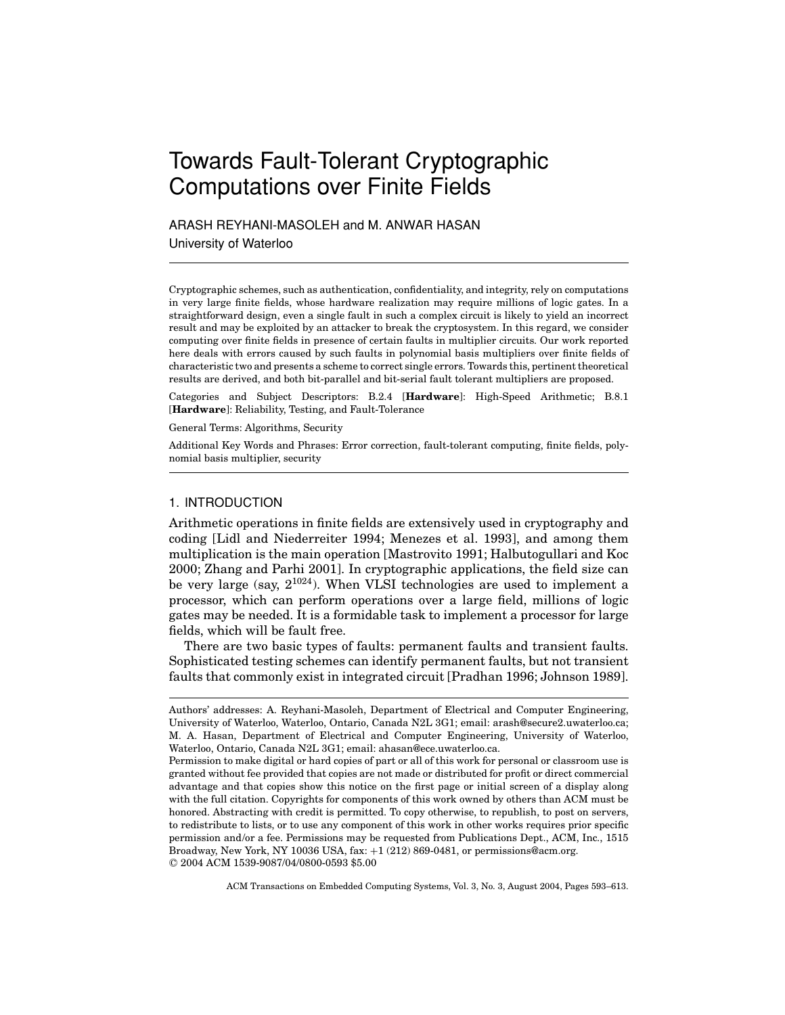# Towards Fault-Tolerant Cryptographic Computations over Finite Fields

ARASH REYHANI-MASOLEH and M. ANWAR HASAN

University of Waterloo

Cryptographic schemes, such as authentication, confidentiality, and integrity, rely on computations in very large finite fields, whose hardware realization may require millions of logic gates. In a straightforward design, even a single fault in such a complex circuit is likely to yield an incorrect result and may be exploited by an attacker to break the cryptosystem. In this regard, we consider computing over finite fields in presence of certain faults in multiplier circuits. Our work reported here deals with errors caused by such faults in polynomial basis multipliers over finite fields of characteristic two and presents a scheme to correct single errors. Towards this, pertinent theoretical results are derived, and both bit-parallel and bit-serial fault tolerant multipliers are proposed.

Categories and Subject Descriptors: B.2.4 [**Hardware**]: High-Speed Arithmetic; B.8.1 [**Hardware**]: Reliability, Testing, and Fault-Tolerance

General Terms: Algorithms, Security

Additional Key Words and Phrases: Error correction, fault-tolerant computing, finite fields, polynomial basis multiplier, security

## 1. INTRODUCTION

Arithmetic operations in finite fields are extensively used in cryptography and coding [Lidl and Niederreiter 1994; Menezes et al. 1993], and among them multiplication is the main operation [Mastrovito 1991; Halbutogullari and Koc 2000; Zhang and Parhi 2001]. In cryptographic applications, the field size can be very large (say,  $2^{1024}$ ). When VLSI technologies are used to implement a processor, which can perform operations over a large field, millions of logic gates may be needed. It is a formidable task to implement a processor for large fields, which will be fault free.

There are two basic types of faults: permanent faults and transient faults. Sophisticated testing schemes can identify permanent faults, but not transient faults that commonly exist in integrated circuit [Pradhan 1996; Johnson 1989].

Authors' addresses: A. Reyhani-Masoleh, Department of Electrical and Computer Engineering, University of Waterloo, Waterloo, Ontario, Canada N2L 3G1; email: arash@secure2.uwaterloo.ca; M. A. Hasan, Department of Electrical and Computer Engineering, University of Waterloo, Waterloo, Ontario, Canada N2L 3G1; email: ahasan@ece.uwaterloo.ca.

Permission to make digital or hard copies of part or all of this work for personal or classroom use is granted without fee provided that copies are not made or distributed for profit or direct commercial advantage and that copies show this notice on the first page or initial screen of a display along with the full citation. Copyrights for components of this work owned by others than ACM must be honored. Abstracting with credit is permitted. To copy otherwise, to republish, to post on servers, to redistribute to lists, or to use any component of this work in other works requires prior specific permission and/or a fee. Permissions may be requested from Publications Dept., ACM, Inc., 1515 Broadway, New York, NY 10036 USA,  $\text{fax:} +1$  (212) 869-0481, or permissions@acm.org. <sup>C</sup> 2004 ACM 1539-9087/04/0800-0593 \$5.00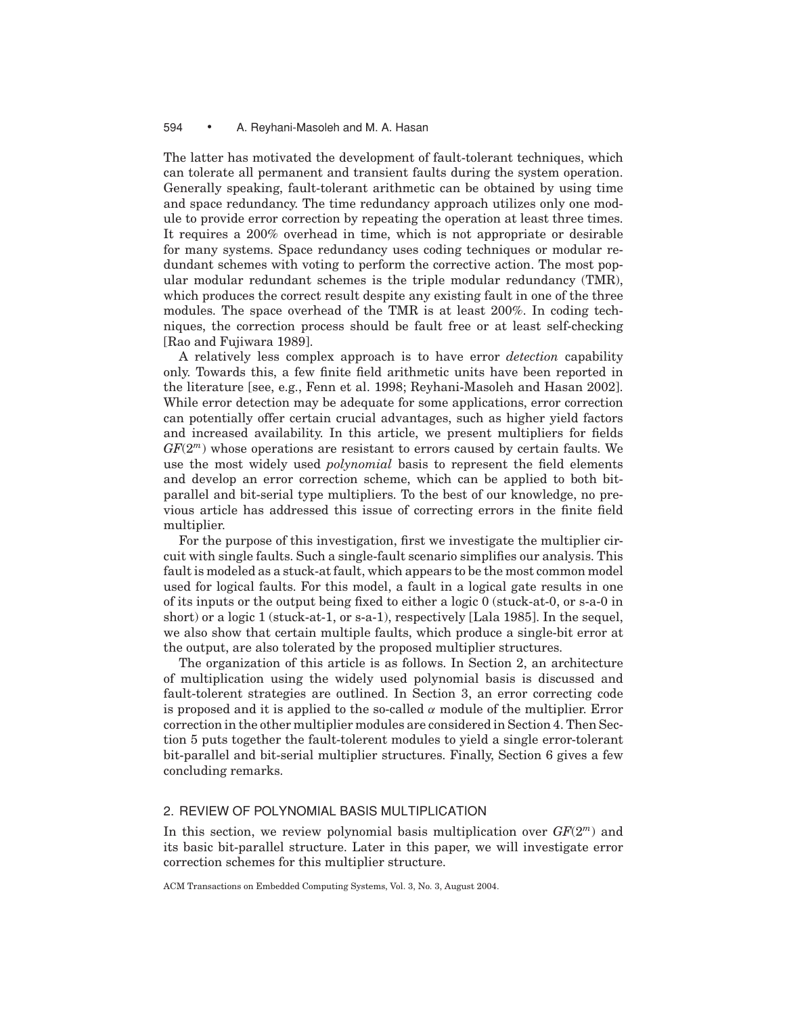The latter has motivated the development of fault-tolerant techniques, which can tolerate all permanent and transient faults during the system operation. Generally speaking, fault-tolerant arithmetic can be obtained by using time and space redundancy. The time redundancy approach utilizes only one module to provide error correction by repeating the operation at least three times. It requires a 200% overhead in time, which is not appropriate or desirable for many systems. Space redundancy uses coding techniques or modular redundant schemes with voting to perform the corrective action. The most popular modular redundant schemes is the triple modular redundancy (TMR), which produces the correct result despite any existing fault in one of the three modules. The space overhead of the TMR is at least 200%. In coding techniques, the correction process should be fault free or at least self-checking [Rao and Fujiwara 1989].

A relatively less complex approach is to have error *detection* capability only. Towards this, a few finite field arithmetic units have been reported in the literature [see, e.g., Fenn et al. 1998; Reyhani-Masoleh and Hasan 2002]. While error detection may be adequate for some applications, error correction can potentially offer certain crucial advantages, such as higher yield factors and increased availability. In this article, we present multipliers for fields *GF*(2*<sup>m</sup>*) whose operations are resistant to errors caused by certain faults. We use the most widely used *polynomial* basis to represent the field elements and develop an error correction scheme, which can be applied to both bitparallel and bit-serial type multipliers. To the best of our knowledge, no previous article has addressed this issue of correcting errors in the finite field multiplier.

For the purpose of this investigation, first we investigate the multiplier circuit with single faults. Such a single-fault scenario simplifies our analysis. This fault is modeled as a stuck-at fault, which appears to be the most common model used for logical faults. For this model, a fault in a logical gate results in one of its inputs or the output being fixed to either a logic 0 (stuck-at-0, or s-a-0 in short) or a logic 1 (stuck-at-1, or s-a-1), respectively [Lala 1985]. In the sequel, we also show that certain multiple faults, which produce a single-bit error at the output, are also tolerated by the proposed multiplier structures.

The organization of this article is as follows. In Section 2, an architecture of multiplication using the widely used polynomial basis is discussed and fault-tolerent strategies are outlined. In Section 3, an error correcting code is proposed and it is applied to the so-called  $\alpha$  module of the multiplier. Error correction in the other multiplier modules are considered in Section 4. Then Section 5 puts together the fault-tolerent modules to yield a single error-tolerant bit-parallel and bit-serial multiplier structures. Finally, Section 6 gives a few concluding remarks.

## 2. REVIEW OF POLYNOMIAL BASIS MULTIPLICATION

In this section, we review polynomial basis multiplication over *GF*(2*<sup>m</sup>*) and its basic bit-parallel structure. Later in this paper, we will investigate error correction schemes for this multiplier structure.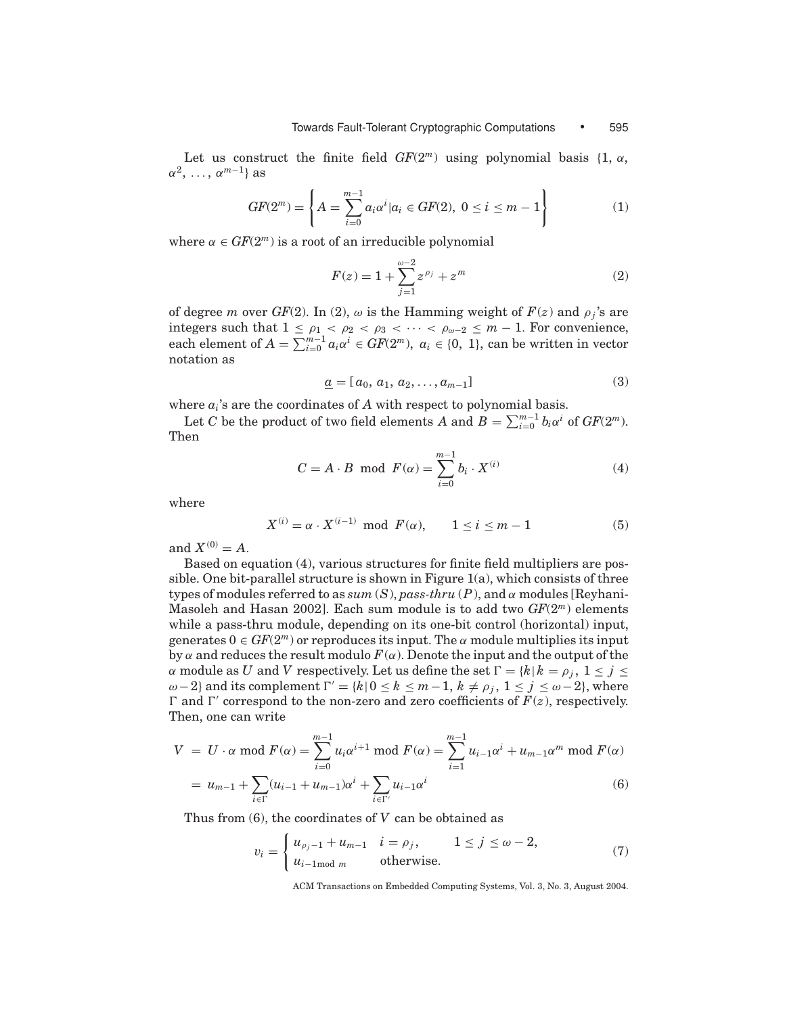Let us construct the finite field  $GF(2<sup>m</sup>)$  using polynomial basis {1,  $\alpha$ ,  $\alpha^2$ , ...,  $\alpha^{m-1}$ } as

$$
GF(2m) = \left\{ A = \sum_{i=0}^{m-1} a_i \alpha^i | a_i \in GF(2), \ 0 \le i \le m-1 \right\}
$$
 (1)

where  $\alpha \in GF(2^m)$  is a root of an irreducible polynomial

$$
F(z) = 1 + \sum_{j=1}^{\omega - 2} z^{\rho_j} + z^m
$$
 (2)

of degree *m* over *GF*(2). In (2),  $\omega$  is the Hamming weight of  $F(z)$  and  $\rho_j$ 's are integers such that  $1 \leq \rho_1 < \rho_2 < \rho_3 < \cdots < \rho_{\omega-2} \leq m-1$ . For convenience, each element of  $A = \sum_{i=0}^{m-1} a_i \alpha^i \in GF(2^m)$ ,  $a_i \in \{0, 1\}$ , can be written in vector notation as

$$
\underline{a} = [a_0, a_1, a_2, \dots, a_{m-1}] \tag{3}
$$

where  $a_i$ 's are the coordinates of A with respect to polynomial basis.

Let *C* be the product of two field elements *A* and  $B = \sum_{i=0}^{m-1} b_i \alpha^i$  of  $GF(2^m)$ . Then

$$
C = A \cdot B \mod F(\alpha) = \sum_{i=0}^{m-1} b_i \cdot X^{(i)} \tag{4}
$$

where

$$
X^{(i)} = \alpha \cdot X^{(i-1)} \text{ mod } F(\alpha), \qquad 1 \le i \le m-1 \tag{5}
$$

and  $X^{(0)} = A$ .

Based on equation (4), various structures for finite field multipliers are possible. One bit-parallel structure is shown in Figure 1(a), which consists of three types of modules referred to as  $sum(S)$ ,  $pass\text{-}thru(P)$ , and  $\alpha$  modules [Reyhani-Masoleh and Hasan 2002]. Each sum module is to add two *GF*(2*<sup>m</sup>*) elements while a pass-thru module, depending on its one-bit control (horizontal) input, generates  $0 \in GF(2^m)$  or reproduces its input. The  $\alpha$  module multiplies its input by  $\alpha$  and reduces the result modulo  $F(\alpha)$ . Denote the input and the output of the  $\alpha$  module as *U* and *V* respectively. Let us define the set  $\Gamma = \{k | k = \rho_j, 1 \leq j \leq \rho_j\}$  $\omega$ −2} and its complement  $\Gamma' = \{k \mid 0 \le k \le m-1, k \ne \rho_j, 1 \le j \le \omega-2\}$ , where  $\Gamma$  and  $\Gamma'$  correspond to the non-zero and zero coefficients of  $F(z)$ , respectively. Then, one can write

$$
V = U \cdot \alpha \text{ mod } F(\alpha) = \sum_{i=0}^{m-1} u_i \alpha^{i+1} \text{ mod } F(\alpha) = \sum_{i=1}^{m-1} u_{i-1} \alpha^i + u_{m-1} \alpha^m \text{ mod } F(\alpha)
$$
  
=  $u_{m-1} + \sum (u_{i-1} + u_{m-1}) \alpha^i + \sum u_{i-1} \alpha^i$  (6)

$$
= u_{m-1} + \sum_{i \in \Gamma} (u_{i-1} + u_{m-1})\alpha + \sum_{i \in \Gamma'} u_{i-1}\alpha
$$

Thus from (6), the coordinates of *V* can be obtained as

$$
v_i = \begin{cases} u_{\rho_j - 1} + u_{m-1} & i = \rho_j, & 1 \le j \le \omega - 2, \\ u_{i-1 \text{ mod } m} & \text{otherwise.} \end{cases}
$$
(7)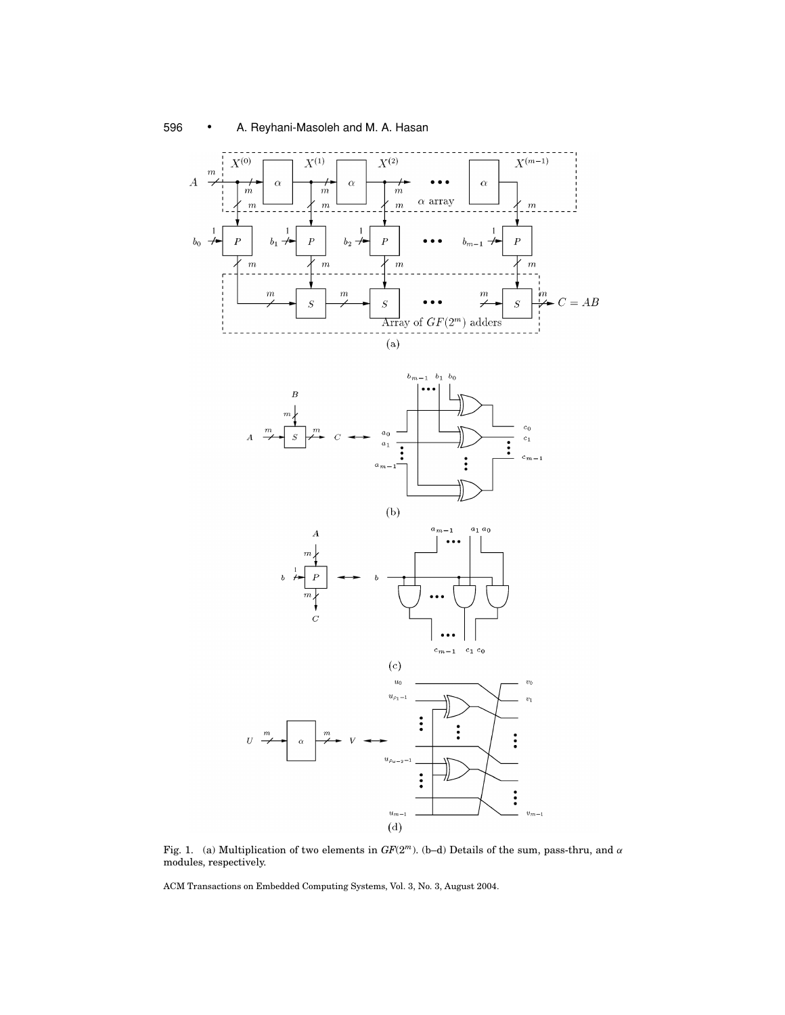





Fig. 1. (a) Multiplication of two elements in *GF*(2*m*). (b–d) Details of the sum, pass-thru, and α modules, respectively.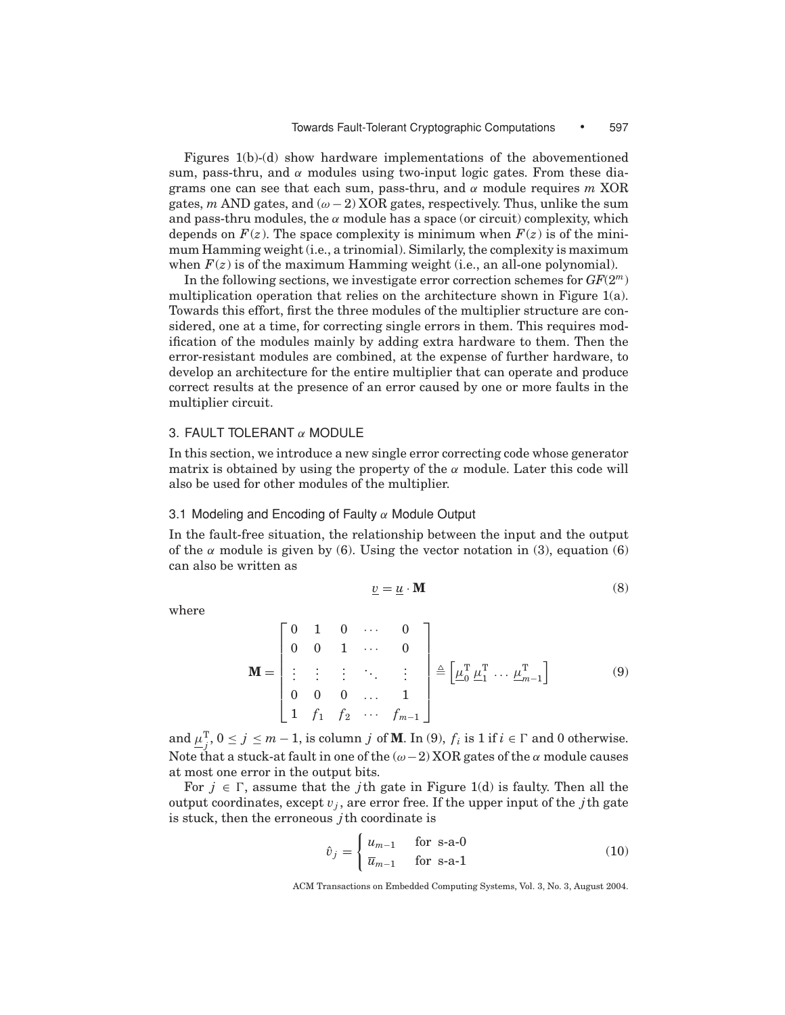Figures 1(b)-(d) show hardware implementations of the abovementioned sum, pass-thru, and  $\alpha$  modules using two-input logic gates. From these diagrams one can see that each sum, pass-thru, and α module requires *m* XOR gates,  $m$  AND gates, and  $(\omega - 2)$  XOR gates, respectively. Thus, unlike the sum and pass-thru modules, the  $\alpha$  module has a space (or circuit) complexity, which depends on  $F(z)$ . The space complexity is minimum when  $F(z)$  is of the minimum Hamming weight (i.e., a trinomial). Similarly, the complexity is maximum when  $F(z)$  is of the maximum Hamming weight (i.e., an all-one polynomial).

In the following sections, we investigate error correction schemes for *GF*(2*m*) multiplication operation that relies on the architecture shown in Figure 1(a). Towards this effort, first the three modules of the multiplier structure are considered, one at a time, for correcting single errors in them. This requires modification of the modules mainly by adding extra hardware to them. Then the error-resistant modules are combined, at the expense of further hardware, to develop an architecture for the entire multiplier that can operate and produce correct results at the presence of an error caused by one or more faults in the multiplier circuit.

## 3. FAULT TOLERANT  $\alpha$  MODULE

In this section, we introduce a new single error correcting code whose generator matrix is obtained by using the property of the  $\alpha$  module. Later this code will also be used for other modules of the multiplier.

## 3.1 Modeling and Encoding of Faulty  $\alpha$  Module Output

In the fault-free situation, the relationship between the input and the output of the  $\alpha$  module is given by (6). Using the vector notation in (3), equation (6) can also be written as

$$
\underline{v} = \underline{u} \cdot \mathbf{M} \tag{8}
$$

where

$$
\mathbf{M} = \begin{bmatrix} 0 & 1 & 0 & \cdots & 0 \\ 0 & 0 & 1 & \cdots & 0 \\ \vdots & \vdots & \vdots & \ddots & \vdots \\ 0 & 0 & 0 & \cdots & 1 \\ 1 & f_1 & f_2 & \cdots & f_{m-1} \end{bmatrix} \triangleq \left[ \underline{\mu}_0^{\mathrm{T}} \ \underline{\mu}_1^{\mathrm{T}} \ \cdots \ \underline{\mu}_{m-1}^{\mathrm{T}} \right]
$$
(9)

and  $\mu_j^T$ ,  $0 \le j \le m-1$ , is column *j* of **M**. In (9),  $f_i$  is 1 if  $i \in \Gamma$  and 0 otherwise. Note that a stuck-at fault in one of the  $(\omega - 2)$  XOR gates of the  $\alpha$  module causes at most one error in the output bits.

For  $j \in \Gamma$ , assume that the *j*th gate in Figure 1(d) is faulty. Then all the output coordinates, except  $v_j$ , are error free. If the upper input of the *j*th gate is stuck, then the erroneous *j*th coordinate is

$$
\hat{v}_j = \begin{cases} u_{m-1} & \text{for } s\text{-a-0} \\ \overline{u}_{m-1} & \text{for } s\text{-a-1} \end{cases} \tag{10}
$$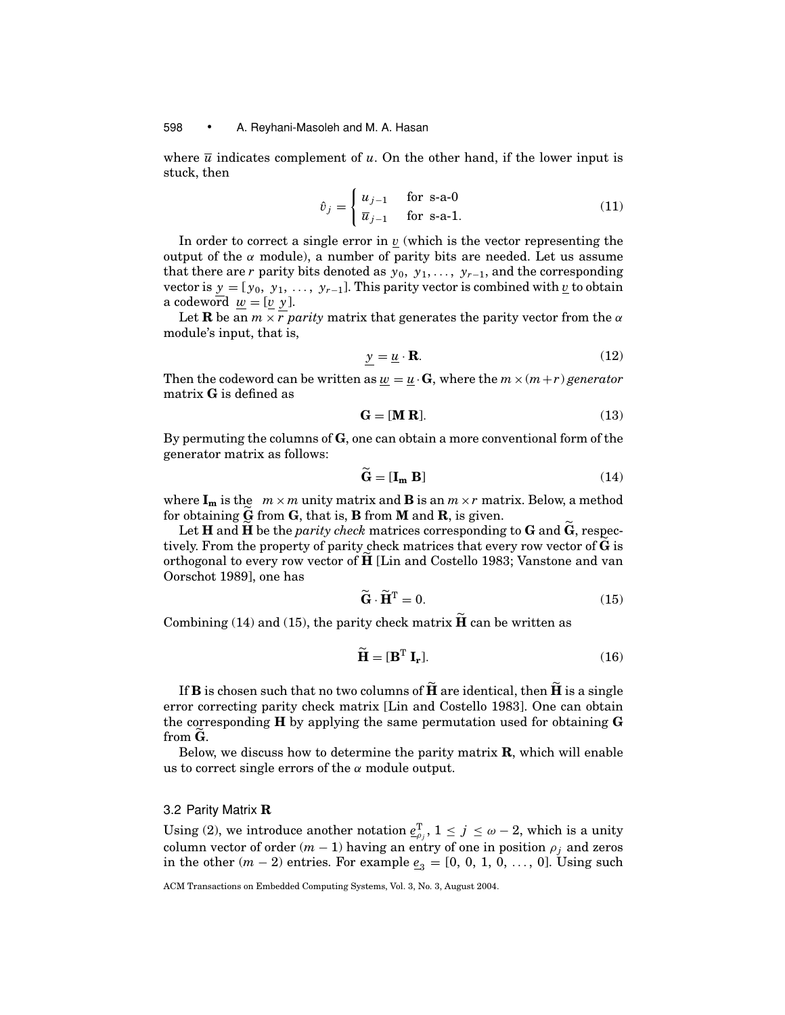where  $\bar{u}$  indicates complement of *u*. On the other hand, if the lower input is stuck, then

$$
\hat{v}_j = \begin{cases} u_{j-1} & \text{for s-a-0} \\ \overline{u}_{j-1} & \text{for s-a-1.} \end{cases} \tag{11}
$$

In order to correct a single error in  $\nu$  (which is the vector representing the output of the  $\alpha$  module), a number of parity bits are needed. Let us assume that there are *r* parity bits denoted as  $y_0, y_1, \ldots, y_{r-1}$ , and the corresponding vector is  $y = [y_0, y_1, \ldots, y_{r-1}]$ . This parity vector is combined with *v* to obtain a codeword  $w = [v \ y]$ .

Let **R** be an  $m \times r$  *parity* matrix that generates the parity vector from the  $\alpha$ module's input, that is,

$$
y = \underline{u} \cdot \mathbf{R}.\tag{12}
$$

Then the codeword can be written as  $\underline{w} = \underline{u} \cdot \mathbf{G}$ , where the  $m \times (m+r)$  *generator* matrix **G** is defined as

$$
\mathbf{G} = [\mathbf{M} \ \mathbf{R}]. \tag{13}
$$

By permuting the columns of **G**, one can obtain a more conventional form of the generator matrix as follows:

$$
\mathbf{G} = [\mathbf{I}_{\mathbf{m}} \; \mathbf{B}] \tag{14}
$$

where  $I_m$  is the  $m \times m$  unity matrix and **B** is an  $m \times r$  matrix. Below, a method for obtaining **G** from **G**, that is, **B** from **M** and **R**, is given.

Let **H** and **H** be the *parity check* matrices corresponding to **G** and **G** , respectively. From the property of parity check matrices that every row vector of **G** is orthogonal to every row vector of **H** [Lin and Costello 1983; Vanstone and van Oorschot 1989], one has

$$
\tilde{\mathbf{G}} \cdot \tilde{\mathbf{H}}^{\mathrm{T}} = 0. \tag{15}
$$

Combining (14) and (15), the parity check matrix  $\tilde{H}$  can be written as

$$
\widetilde{\mathbf{H}} = [\mathbf{B}^{\mathrm{T}} \; \mathbf{I}_{\mathbf{r}}]. \tag{16}
$$

If **B** is chosen such that no two columns of  $\tilde{H}$  are identical, then  $\tilde{H}$  is a single error correcting parity check matrix [Lin and Costello 1983]. One can obtain the corresponding **H** by applying the same permutation used for obtaining **G** from **G** .

Below, we discuss how to determine the parity matrix **R**, which will enable us to correct single errors of the  $\alpha$  module output.

## 3.2 Parity Matrix **R**

Using (2), we introduce another notation  $\underline{e}_{\rho_j}^{\mathrm{T}}, 1 \leq j \leq \omega - 2$ , which is a unity column vector of order  $(m - 1)$  having an entry of one in position  $\rho_i$  and zeros in the other  $(m - 2)$  entries. For example  $\underline{e}_3 = [0, 0, 1, 0, \ldots, 0]$ . Using such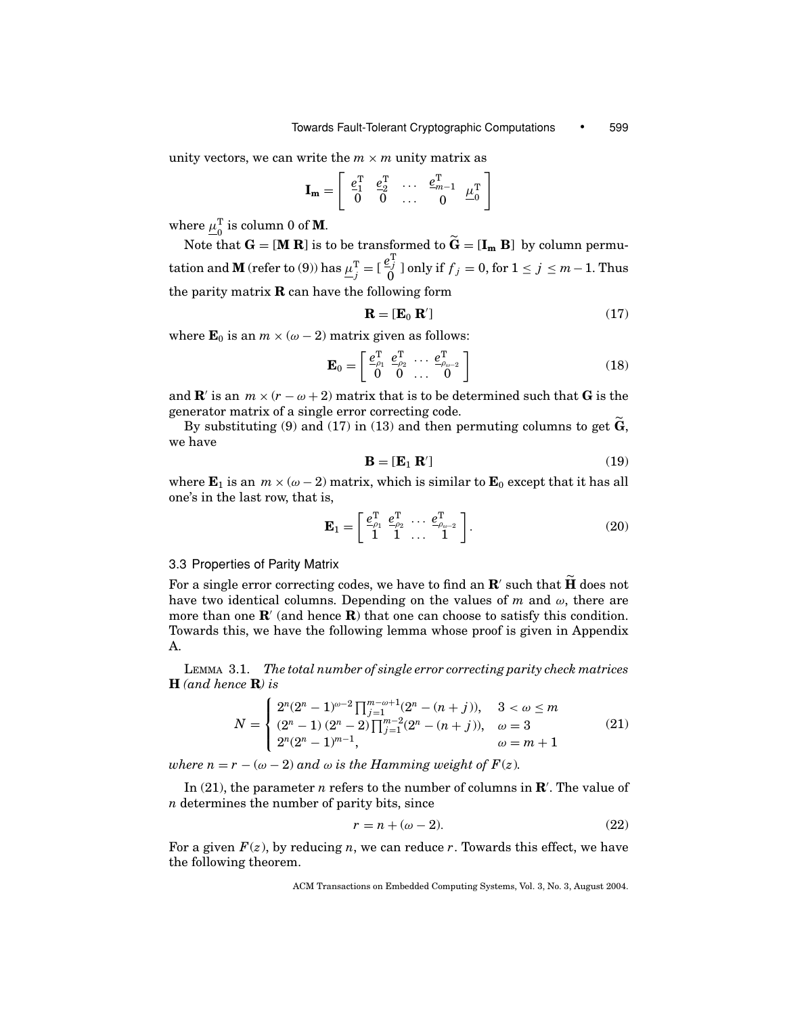unity vectors, we can write the  $m \times m$  unity matrix as

$$
\mathbf{I_m} = \left[ \begin{array}{cccc} \underline{e_1^T} & \underline{e_2^T} & \ldots & \underline{e_{m-1}^T} & \underline{\mu_0^T} \\ 0 & 0 & \ldots & 0 & \underline{\mu_0^0} \end{array} \right]
$$

where  $\mu_0^{\rm T}$  is column 0 of **M**.

Note that  $G = [\mathbf{M} \mathbf{R}]$  is to be transformed to  $\widetilde{G} = [\mathbf{I}_m \mathbf{B}]$  by column permutation and  $\mathbf{M}$  (refer to (9)) has  $\underline{\mu}_{j}^{\mathrm{T}}=[\frac{e_{j}^{\mathrm{T}}}{0}]$  only if  $f_{j}=0,$  for  $1\leq j\leq m-1.$  Thus the parity matrix **R** can have the following form

$$
\mathbf{R} = [\mathbf{E}_0 \ \mathbf{R}'] \tag{17}
$$

where  $\mathbf{E}_0$  is an  $m \times (\omega - 2)$  matrix given as follows:

$$
\mathbf{E}_0 = \begin{bmatrix} e_{\rho_1}^{\mathrm{T}} & e_{\rho_2}^{\mathrm{T}} & \cdots & e_{\rho_{\omega-2}}^{\mathrm{T}} \\ 0 & 0 & \cdots & 0 \end{bmatrix}
$$
 (18)

and **R**' is an  $m \times (r - \omega + 2)$  matrix that is to be determined such that **G** is the generator matrix of a single error correcting code.

By substituting (9) and (17) in (13) and then permuting columns to get **G** , we have

$$
\mathbf{B} = [\mathbf{E}_1 \ \mathbf{R}'] \tag{19}
$$

where  $\mathbf{E}_1$  is an  $m \times (\omega - 2)$  matrix, which is similar to  $\mathbf{E}_0$  except that it has all one's in the last row, that is,

$$
\mathbf{E}_1 = \begin{bmatrix} \frac{e_{\rho_1}^{\mathrm{T}}}{1} & \frac{e_{\rho_2}^{\mathrm{T}}}{1} & \cdots & \frac{e_{\rho_{\omega-2}}^{\mathrm{T}}}{1} \\ 1 & 1 & \cdots & 1 \end{bmatrix} . \tag{20}
$$

## 3.3 Properties of Parity Matrix

For a single error correcting codes, we have to find an  $\mathbb{R}'$  such that  $\widetilde{\mathbb{H}}$  does not have two identical columns. Depending on the values of  $m$  and  $\omega$ , there are more than one  $\mathbf{R}'$  (and hence  $\mathbf{R}$ ) that one can choose to satisfy this condition. Towards this, we have the following lemma whose proof is given in Appendix A.

LEMMA 3.1. *The total number of single error correcting parity check matrices* **H** *(and hence* **R***) is*

$$
N = \begin{cases} 2^{n}(2^{n} - 1)^{\omega - 2} \prod_{j=1}^{m-\omega+1} (2^{n} - (n+j)), & 3 < \omega \le m \\ (2^{n} - 1) (2^{n} - 2) \prod_{j=1}^{m-2} (2^{n} - (n+j)), & \omega = 3 \\ 2^{n}(2^{n} - 1)^{m-1}, & \omega = m+1 \end{cases}
$$
(21)

*where*  $n = r - (\omega - 2)$  *and*  $\omega$  *is the Hamming weight of*  $F(z)$ *.* 

In (21), the parameter *n* refers to the number of columns in **R** . The value of *n* determines the number of parity bits, since

$$
r = n + (\omega - 2). \tag{22}
$$

For a given  $F(z)$ , by reducing *n*, we can reduce *r*. Towards this effect, we have the following theorem.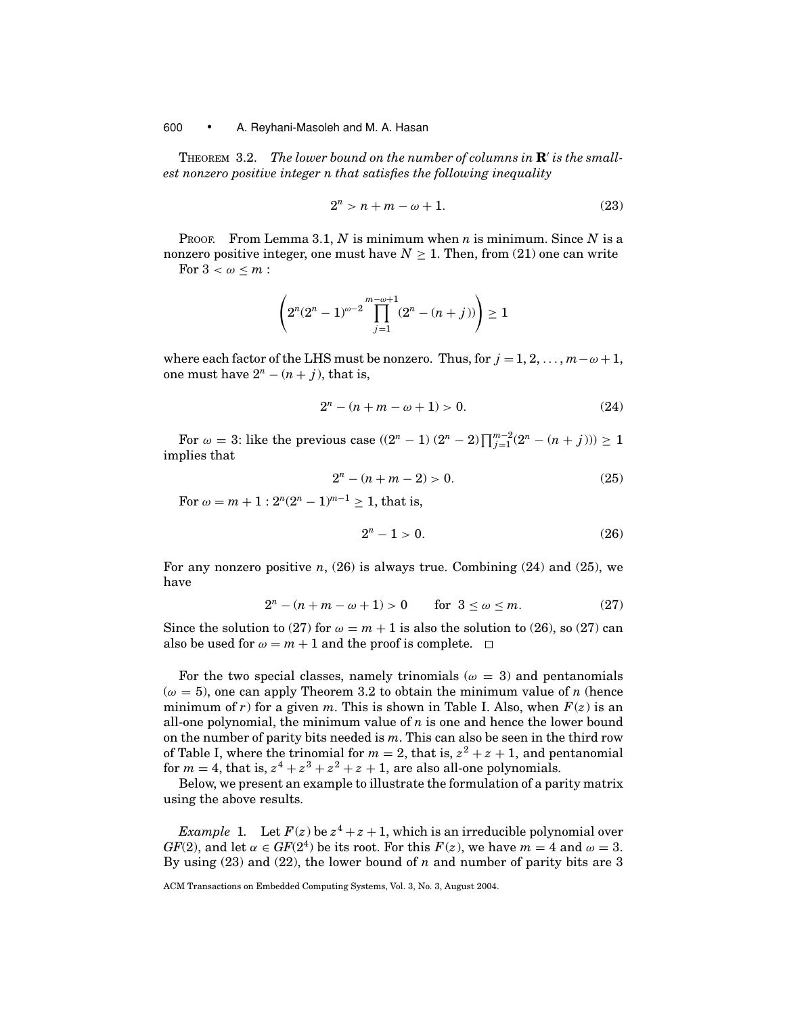THEOREM 3.2. *The lower bound on the number of columns in* **R** *is the smallest nonzero positive integer n that satisfies the following inequality*

$$
2^n > n + m - \omega + 1. \tag{23}
$$

PROOF. From Lemma 3.1, *N* is minimum when *n* is minimum. Since *N* is a nonzero positive integer, one must have  $N \geq 1$ . Then, from (21) one can write For  $3 < \omega \leq m$ :

$$
\left(2^n(2^n-1)^{\omega-2}\prod_{j=1}^{m-\omega+1}(2^n-(n+j))\right)\geq 1
$$

where each factor of the LHS must be nonzero. Thus, for  $j = 1, 2, ..., m - \omega + 1$ , one must have  $2^n - (n + j)$ , that is,

$$
2^n - (n + m - \omega + 1) > 0. \tag{24}
$$

For  $\omega = 3$ : like the previous case  $((2^{n} - 1) (2^{n} - 2) \prod_{j=1}^{m-2} (2^{n} - (n+j))) \ge 1$ implies that

$$
2^n - (n + m - 2) > 0. \tag{25}
$$

For  $\omega = m + 1$ :  $2^{n}(2^{n} - 1)^{m-1} > 1$ , that is,

$$
2^n - 1 > 0. \t\t(26)
$$

For any nonzero positive  $n$ , (26) is always true. Combining (24) and (25), we have

$$
2n - (n + m - \omega + 1) > 0 \qquad \text{for } 3 \le \omega \le m. \tag{27}
$$

Since the solution to (27) for  $\omega = m + 1$  is also the solution to (26), so (27) can also be used for  $\omega = m + 1$  and the proof is complete.  $\Box$ 

For the two special classes, namely trinomials ( $\omega = 3$ ) and pentanomials  $(\omega = 5)$ , one can apply Theorem 3.2 to obtain the minimum value of *n* (hence minimum of *r*) for a given *m*. This is shown in Table I. Also, when  $F(z)$  is an all-one polynomial, the minimum value of *n* is one and hence the lower bound on the number of parity bits needed is *m*. This can also be seen in the third row of Table I, where the trinomial for  $m = 2$ , that is,  $z^2 + z + 1$ , and pentanomial for  $m = 4$ , that is,  $z^4 + z^3 + z^2 + z + 1$ , are also all-one polynomials.

Below, we present an example to illustrate the formulation of a parity matrix using the above results.

*Example* 1. Let  $F(z)$  be  $z^4 + z + 1$ , which is an irreducible polynomial over *GF*(2), and let  $\alpha \in GF(2^4)$  be its root. For this  $F(z)$ , we have  $m = 4$  and  $\omega = 3$ . By using (23) and (22), the lower bound of *n* and number of parity bits are 3

ACM Transactions on Embedded Computing Systems, Vol. 3, No. 3, August 2004.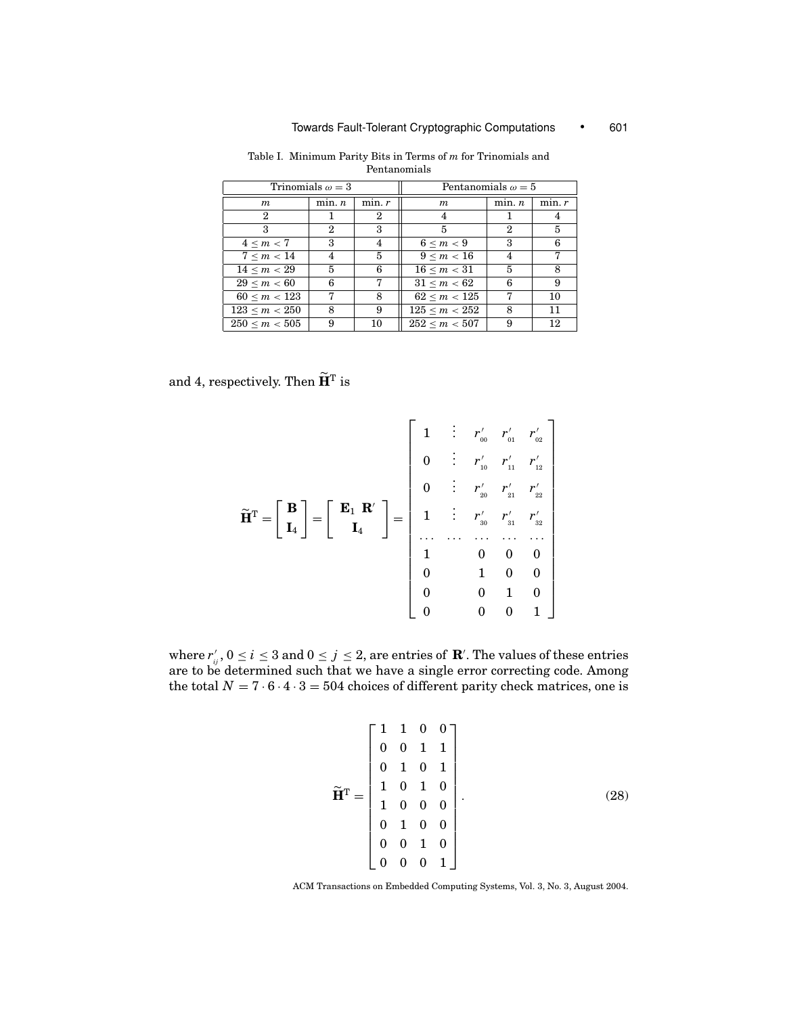|                     | Trinomials $\omega = 3$ |        | Pentanomials $\omega = 5$ |                  |        |  |  |  |  |
|---------------------|-------------------------|--------|---------------------------|------------------|--------|--|--|--|--|
| $\boldsymbol{m}$    | min. n                  | min. r | $\boldsymbol{m}$          | min. n           | min. r |  |  |  |  |
| $\boldsymbol{2}$    |                         | 2      |                           |                  | 4      |  |  |  |  |
| 3                   | 2                       | 3      | 5                         | $\boldsymbol{2}$ | 5      |  |  |  |  |
| $4 \le m \le 7$     | 3                       | 4      | 6 < m < 9                 | 3                | 6      |  |  |  |  |
| 7 < m < 14          | 4                       | 5      | 9 < m < 16                | 4                | 7      |  |  |  |  |
| $14 \le m \le 29$   | 5                       | 6      | 16 < m < 31               | 5                | 8      |  |  |  |  |
| 29 < m < 60         | 6                       | 7      | 31 < m < 62               | 6                | 9      |  |  |  |  |
| $60 \le m \le 123$  | 7                       | 8      | 62 < m < 125              | 7                | 10     |  |  |  |  |
| 123 < m < 250       | 8                       | 9      | $125 \le m < 252$         | 8                | 11     |  |  |  |  |
| $250 \le m \le 505$ | 9                       | 10     | 252 < m < 507             | 9                | 12     |  |  |  |  |

Table I. Minimum Parity Bits in Terms of *m* for Trinomials and Pentanomials

and 4, respectively. Then  $\widetilde{\mathbf{H}}^{\text{T}}$  is

$$
\widetilde{\mathbf{H}}^{\mathrm{T}} = \begin{bmatrix} \mathbf{B} \\ \mathbf{I}_4 \end{bmatrix} = \begin{bmatrix} \mathbf{E}_1 & \mathbf{R}' \\ \mathbf{I}_4 \end{bmatrix} = \begin{bmatrix} \mathbf{E}_1 & \mathbf{R}' \\ \mathbf{I}_4 \end{bmatrix} = \begin{bmatrix} \mathbf{E}_1 & \mathbf{R}' \\ \mathbf{I}_4 & \mathbf{I}_5 \end{bmatrix} = \begin{bmatrix} \mathbf{E}_1 & \mathbf{R}' \\ \mathbf{I}_5 & \mathbf{I}_2 & \mathbf{I}_3 & \mathbf{I}_4 \\ \mathbf{I}_6 & \mathbf{I}_3 & \mathbf{I}_4 & \mathbf{I}_5 \\ \mathbf{I}_7 & \mathbf{I}_8 & \mathbf{I}_9 & \mathbf{I}_9 \\ \mathbf{I}_8 & \mathbf{I}_9 & \mathbf{I}_9 & \mathbf{I}_9 \\ \mathbf{I}_9 & \mathbf{I}_9 & \mathbf{I}_9 & \mathbf{I}_9 \\ \mathbf{I}_9 & \mathbf{I}_9 & \mathbf{I}_9 & \mathbf{I}_9 \\ \mathbf{I}_9 & \mathbf{I}_9 & \mathbf{I}_9 & \mathbf{I}_9 \\ \mathbf{I}_9 & \mathbf{I}_9 & \mathbf{I}_9 & \mathbf{I}_9 \\ \mathbf{I}_9 & \mathbf{I}_9 & \mathbf{I}_9 & \mathbf{I}_9 \\ \mathbf{I}_9 & \mathbf{I}_9 & \mathbf{I}_9 & \mathbf{I}_9 \\ \mathbf{I}_1 & \mathbf{I}_9 & \mathbf{I}_9 & \mathbf{I}_9 \\ \mathbf{I}_1 & \mathbf{I}_9 & \mathbf{I}_9 & \mathbf{I}_9 \\ \mathbf{I}_1 & \mathbf{I}_9 & \mathbf{I}_9 & \mathbf{I}_9 \\ \mathbf{I}_1 & \mathbf{I}_9 & \mathbf{I}_9 & \mathbf{I}_9 \\ \mathbf{I}_1 & \mathbf{I}_9 & \mathbf{I}_9 & \mathbf{I}_9 \\ \mathbf{I}_1 & \mathbf{I}_9 & \mathbf{I}_9 & \mathbf{I}_9 \\ \mathbf{I}_1 & \mathbf{I}_9 & \mathbf{I}_9 & \mathbf{I}_9 \\ \mathbf{I}_1 & \mathbf{I}_1 & \mathbf{I}_2 & \mathbf{I}_3 & \mathbf{I}_4
$$

where  $r'_{ij}$  ,  $0 \le i \le 3$  and  $0 \le j \le 2$ , are entries of  ${\bf R}'$ . The values of these entries are to be determined such that we have a single error correcting code. Among the total  $N = 7 \cdot 6 \cdot 4 \cdot 3 = 504$  choices of different parity check matrices, one is

$$
\widetilde{\mathbf{H}}^{\mathrm{T}} = \begin{bmatrix} 1 & 1 & 0 & 0 \\ 0 & 0 & 1 & 1 \\ 0 & 1 & 0 & 1 \\ 1 & 0 & 1 & 0 \\ 1 & 0 & 0 & 0 \\ 0 & 1 & 0 & 0 \\ 0 & 0 & 1 & 0 \\ 0 & 0 & 0 & 1 \end{bmatrix} . \tag{28}
$$

ACM Transactions on Embedded Computing Systems, Vol. 3, No. 3, August 2004.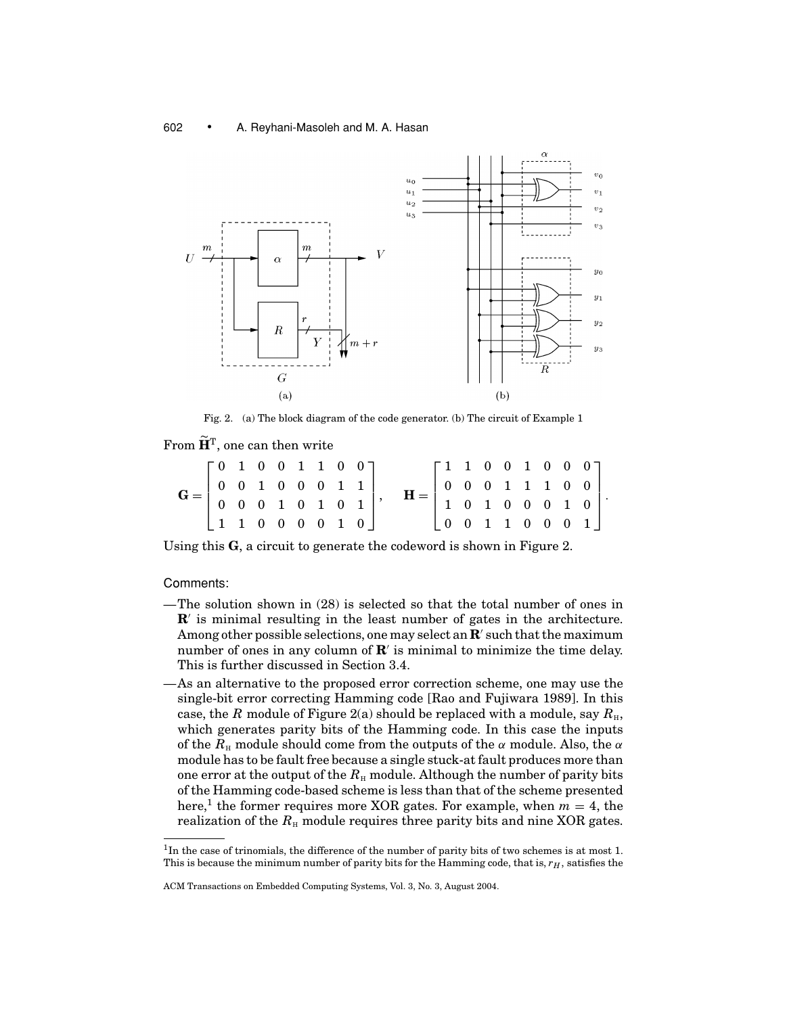

Fig. 2. (a) The block diagram of the code generator. (b) The circuit of Example 1

From  $\widetilde{\mathbf{H}}^{\text{T}}$ , one can then write

|                                                                                                                        | $\begin{bmatrix} 0 & 1 & 0 & 0 & 1 & 1 & 0 & 0 \end{bmatrix}$ |  |  |  |  | $\begin{bmatrix} 1 & 1 & 0 & 0 & 1 & 0 & 0 & 0 \end{bmatrix}$                                                    |  |  |  |  |
|------------------------------------------------------------------------------------------------------------------------|---------------------------------------------------------------|--|--|--|--|------------------------------------------------------------------------------------------------------------------|--|--|--|--|
|                                                                                                                        |                                                               |  |  |  |  |                                                                                                                  |  |  |  |  |
| $G = \left[ \begin{array}{cccccc} 0 & 0 & 1 & 0 & 0 & 0 & 1 & 1 \\ 0 & 0 & 0 & 1 & 0 & 1 & 0 & 1 \end{array} \right],$ |                                                               |  |  |  |  | $\left[\begin{array}{ccccccc} 0 & 0 & 0 & 1 & 1 & 1 & 0 & 0 \ 1 & 0 & 1 & 0 & 0 & 0 & 1 & 0 \end{array}\right].$ |  |  |  |  |
|                                                                                                                        | 1 1 0 0 0 0 1 0                                               |  |  |  |  |                                                                                                                  |  |  |  |  |

Using this **G**, a circuit to generate the codeword is shown in Figure 2.

Comments:

- —The solution shown in (28) is selected so that the total number of ones in **R**' is minimal resulting in the least number of gates in the architecture. Among other possible selections, one may select an  $\mathbb{R}'$  such that the maximum number of ones in any column of  $\mathbb{R}^r$  is minimal to minimize the time delay. This is further discussed in Section 3.4.
- —As an alternative to the proposed error correction scheme, one may use the single-bit error correcting Hamming code [Rao and Fujiwara 1989]. In this case, the *R* module of Figure 2(a) should be replaced with a module, say  $R_{\text{H}}$ , which generates parity bits of the Hamming code. In this case the inputs of the  $R_\text{H}$  module should come from the outputs of the  $\alpha$  module. Also, the  $\alpha$ module has to be fault free because a single stuck-at fault produces more than one error at the output of the  $R<sub>H</sub>$  module. Although the number of parity bits of the Hamming code-based scheme is less than that of the scheme presented here,<sup>1</sup> the former requires more XOR gates. For example, when  $m = 4$ , the realization of the  $R_{\text{H}}$  module requires three parity bits and nine XOR gates.

<sup>&</sup>lt;sup>1</sup>In the case of trinomials, the difference of the number of parity bits of two schemes is at most 1. This is because the minimum number of parity bits for the Hamming code, that is,  $r_H$ , satisfies the

ACM Transactions on Embedded Computing Systems, Vol. 3, No. 3, August 2004.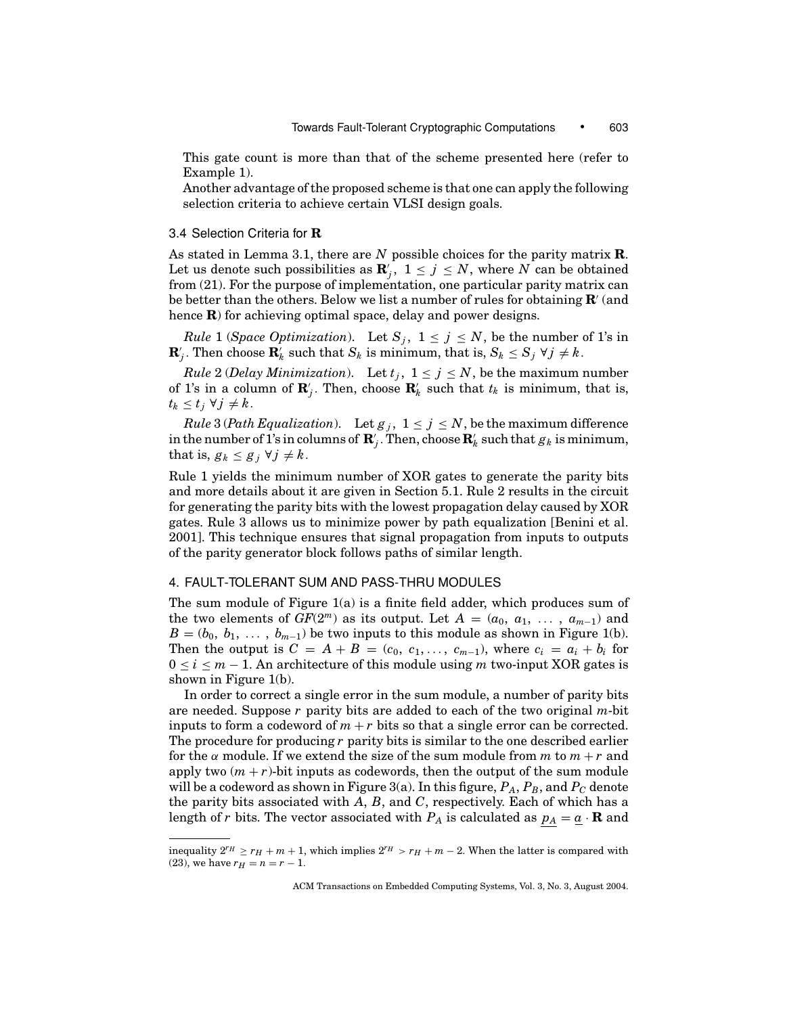This gate count is more than that of the scheme presented here (refer to Example 1).

Another advantage of the proposed scheme is that one can apply the following selection criteria to achieve certain VLSI design goals.

#### 3.4 Selection Criteria for **R**

As stated in Lemma 3.1, there are *N* possible choices for the parity matrix **R**. Let us denote such possibilities as  $\mathbf{R}'_j$ ,  $1 \le j \le N$ , where N can be obtained from (21). For the purpose of implementation, one particular parity matrix can be better than the others. Below we list a number of rules for obtaining **R** (and hence **R**) for achieving optimal space, delay and power designs.

*Rule* 1 (*Space Optimization*). Let  $S_j$ ,  $1 \le j \le N$ , be the number of 1's in  $\mathbf{R}'_j$ . Then choose  $\mathbf{R}'_k$  such that  $S_k$  is minimum, that is,  $S_k \leq S_j \ \forall j \neq k$ .

*Rule* 2 (*Delay Minimization*). Let  $t_j$ ,  $1 \le j \le N$ , be the maximum number of 1's in a column of  $\mathbf{R}'_j$ . Then, choose  $\mathbf{R}'_k$  such that  $t_k$  is minimum, that is,  $t_k$  ≤  $t_j$  ∀  $j \neq k$ .

*Rule* 3 (*Path Equalization*). Let  $g_j$ ,  $1 \le j \le N$ , be the maximum difference in the number of  $1$ 's in columns of  $\mathbf{R}'_j$  . Then, choose  $\mathbf{R}'_k$  such that  $g_k$  is minimum, that is,  $g_k \leq g_j \ \forall j \neq k$ .

Rule 1 yields the minimum number of XOR gates to generate the parity bits and more details about it are given in Section 5.1. Rule 2 results in the circuit for generating the parity bits with the lowest propagation delay caused by XOR gates. Rule 3 allows us to minimize power by path equalization [Benini et al. 2001]. This technique ensures that signal propagation from inputs to outputs of the parity generator block follows paths of similar length.

#### 4. FAULT-TOLERANT SUM AND PASS-THRU MODULES

The sum module of Figure 1(a) is a finite field adder, which produces sum of the two elements of  $GF(2^m)$  as its output. Let  $A = (a_0, a_1, \ldots, a_{m-1})$  and  $B = (b_0, b_1, \ldots, b_{m-1})$  be two inputs to this module as shown in Figure 1(b). Then the output is  $C = A + B = (c_0, c_1, \ldots, c_{m-1})$ , where  $c_i = a_i + b_i$  for  $0 \le i \le m - 1$ . An architecture of this module using m two-input XOR gates is shown in Figure 1(b).

In order to correct a single error in the sum module, a number of parity bits are needed. Suppose *r* parity bits are added to each of the two original *m*-bit inputs to form a codeword of  $m + r$  bits so that a single error can be corrected. The procedure for producing *r* parity bits is similar to the one described earlier for the  $\alpha$  module. If we extend the size of the sum module from *m* to  $m + r$  and apply two  $(m + r)$ -bit inputs as codewords, then the output of the sum module will be a codeword as shown in Figure 3(a). In this figure,  $P_A$ ,  $P_B$ , and  $P_C$  denote the parity bits associated with *A*, *B*, and *C*, respectively. Each of which has a length of *r* bits. The vector associated with  $P_A$  is calculated as  $p_A = \underline{a} \cdot \mathbf{R}$  and

inequality  $2^{r_H} \ge r_H + m + 1$ , which implies  $2^{r_H} > r_H + m - 2$ . When the latter is compared with (23), we have  $r_H = n = r - 1$ .

ACM Transactions on Embedded Computing Systems, Vol. 3, No. 3, August 2004.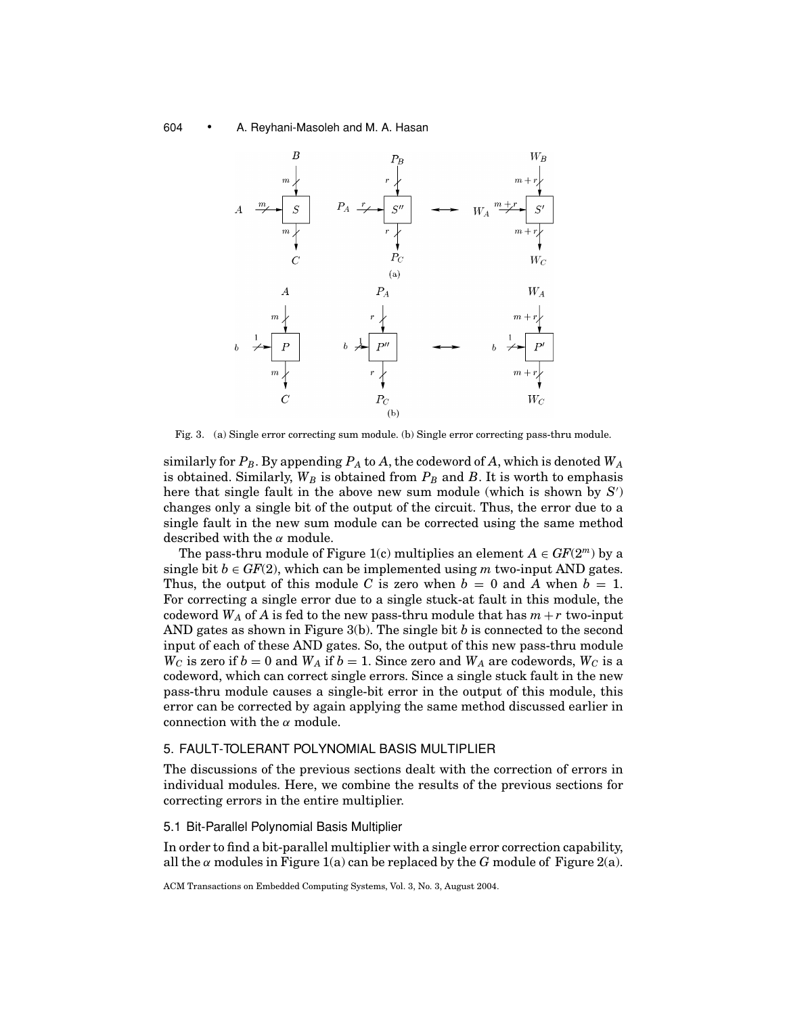

Fig. 3. (a) Single error correcting sum module. (b) Single error correcting pass-thru module.

similarly for  $P_B$ . By appending  $P_A$  to  $A$ , the codeword of  $A$ , which is denoted  $W_A$ is obtained. Similarly,  $W_B$  is obtained from  $P_B$  and  $B$ . It is worth to emphasis here that single fault in the above new sum module (which is shown by *S* ) changes only a single bit of the output of the circuit. Thus, the error due to a single fault in the new sum module can be corrected using the same method described with the  $\alpha$  module.

The pass-thru module of Figure 1(c) multiplies an element  $A \in GF(2^m)$  by a single bit  $b \in GF(2)$ , which can be implemented using *m* two-input AND gates. Thus, the output of this module C is zero when  $b = 0$  and A when  $b = 1$ . For correcting a single error due to a single stuck-at fault in this module, the codeword  $W_A$  of A is fed to the new pass-thru module that has  $m + r$  two-input AND gates as shown in Figure 3(b). The single bit *b* is connected to the second input of each of these AND gates. So, the output of this new pass-thru module  $W_C$  is zero if  $b = 0$  and  $W_A$  if  $b = 1$ . Since zero and  $W_A$  are codewords,  $W_C$  is a codeword, which can correct single errors. Since a single stuck fault in the new pass-thru module causes a single-bit error in the output of this module, this error can be corrected by again applying the same method discussed earlier in connection with the  $\alpha$  module.

## 5. FAULT-TOLERANT POLYNOMIAL BASIS MULTIPLIER

The discussions of the previous sections dealt with the correction of errors in individual modules. Here, we combine the results of the previous sections for correcting errors in the entire multiplier.

## 5.1 Bit-Parallel Polynomial Basis Multiplier

In order to find a bit-parallel multiplier with a single error correction capability, all the  $\alpha$  modules in Figure 1(a) can be replaced by the *G* module of Figure 2(a).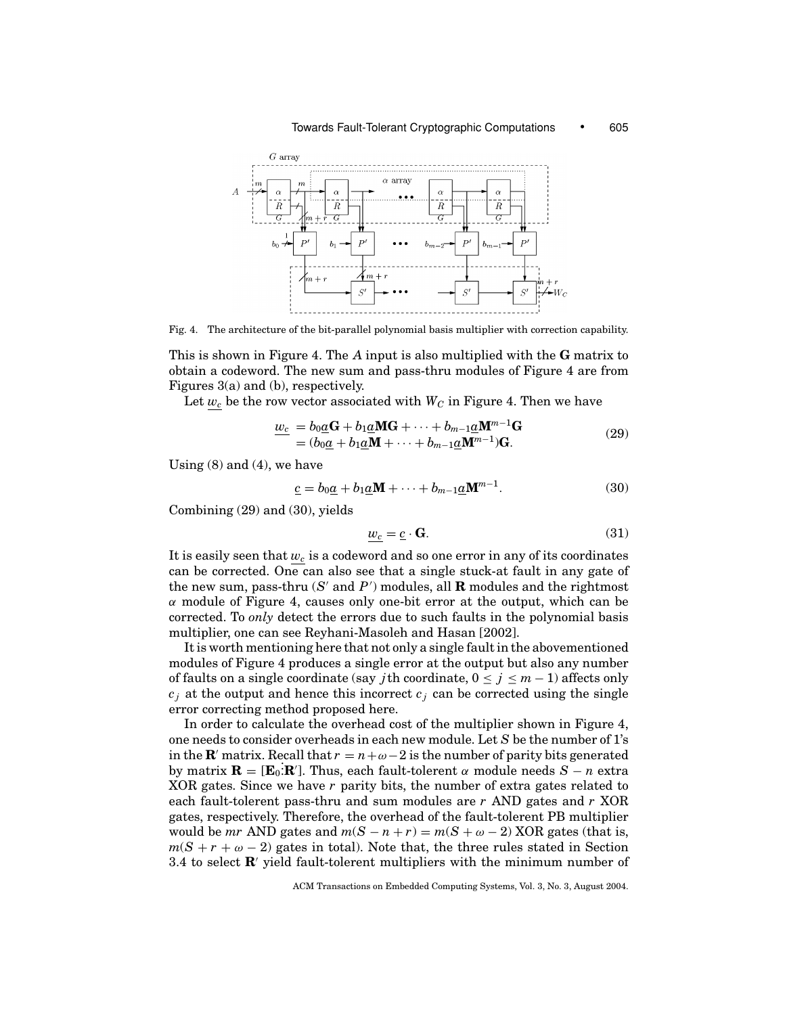

Fig. 4. The architecture of the bit-parallel polynomial basis multiplier with correction capability.

This is shown in Figure 4. The *A* input is also multiplied with the **G** matrix to obtain a codeword. The new sum and pass-thru modules of Figure 4 are from Figures 3(a) and (b), respectively.

Let  $w_c$  be the row vector associated with  $W_C$  in Figure 4. Then we have

$$
\underline{w_c} = b_0 \underline{a} \mathbf{G} + b_1 \underline{a} \mathbf{M} \mathbf{G} + \dots + b_{m-1} \underline{a} \mathbf{M}^{m-1} \mathbf{G}
$$
  
=  $(b_0 \underline{a} + b_1 \underline{a} \mathbf{M} + \dots + b_{m-1} \underline{a} \mathbf{M}^{m-1}) \mathbf{G}.$  (29)

Using  $(8)$  and  $(4)$ , we have

$$
\underline{c} = b_0 \underline{a} + b_1 \underline{a} \mathbf{M} + \dots + b_{m-1} \underline{a} \mathbf{M}^{m-1}.
$$
 (30)

Combining (29) and (30), yields

$$
w_c = \underline{c} \cdot \mathbf{G}.\tag{31}
$$

It is easily seen that  $w_c$  is a codeword and so one error in any of its coordinates can be corrected. One can also see that a single stuck-at fault in any gate of the new sum, pass-thru  $(S'$  and  $P'$ ) modules, all  $\bf R$  modules and the rightmost  $\alpha$  module of Figure 4, causes only one-bit error at the output, which can be corrected. To *only* detect the errors due to such faults in the polynomial basis multiplier, one can see Reyhani-Masoleh and Hasan [2002].

It is worth mentioning here that not only a single fault in the abovementioned modules of Figure 4 produces a single error at the output but also any number of faults on a single coordinate (say *j*th coordinate,  $0 \le j \le m - 1$ ) affects only  $c_j$  at the output and hence this incorrect  $c_j$  can be corrected using the single error correcting method proposed here.

In order to calculate the overhead cost of the multiplier shown in Figure 4, one needs to consider overheads in each new module. Let *S* be the number of 1's in the **R**' matrix. Recall that  $r = n + \omega - 2$  is the number of parity bits generated by matrix  $\mathbf{R} = [\mathbf{E}_0 \cdot \mathbf{R}']$ . Thus, each fault-tolerent  $\alpha$  module needs  $S - n$  extra XOR gates. Since we have *r* parity bits, the number of extra gates related to each fault-tolerent pass-thru and sum modules are *r* AND gates and *r* XOR gates, respectively. Therefore, the overhead of the fault-tolerent PB multiplier would be *mr* AND gates and  $m(S - n + r) = m(S + \omega - 2)$  XOR gates (that is,  $m(S + r + \omega - 2)$  gates in total). Note that, the three rules stated in Section 3.4 to select **R**' yield fault-tolerent multipliers with the minimum number of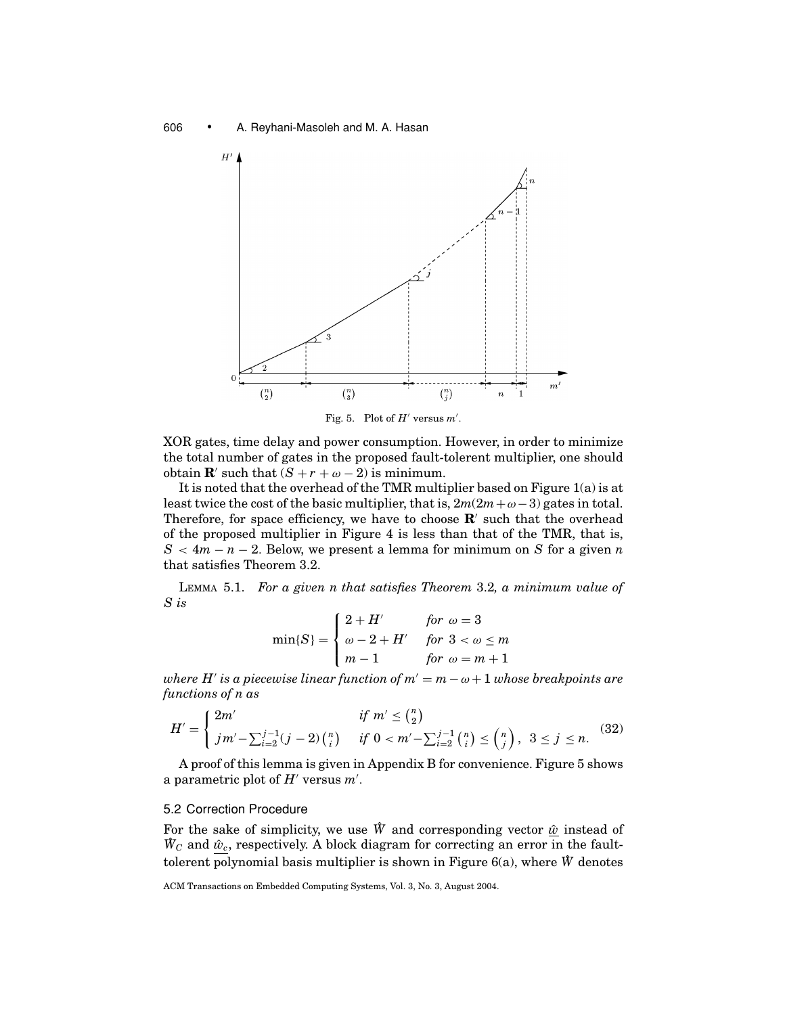

Fig. 5. Plot of  $H'$  versus  $m'$ .

XOR gates, time delay and power consumption. However, in order to minimize the total number of gates in the proposed fault-tolerent multiplier, one should obtain **R**' such that  $(S + r + \omega - 2)$  is minimum.

It is noted that the overhead of the TMR multiplier based on Figure 1(a) is at least twice the cost of the basic multiplier, that is,  $2m(2m + \omega - 3)$  gates in total. Therefore, for space efficiency, we have to choose  $\mathbf{R}'$  such that the overhead of the proposed multiplier in Figure 4 is less than that of the TMR, that is,  $S < 4m - n - 2$ . Below, we present a lemma for minimum on *S* for a given *n* that satisfies Theorem 3.2.

LEMMA 5.1. *For a given n that satisfies Theorem* 3.2*, a minimum value of S is*

$$
\min\{S\} = \begin{cases} 2+H' & \text{for } \omega = 3 \\ \omega - 2 + H' & \text{for } 3 < \omega \le m \\ m - 1 & \text{for } \omega = m + 1 \end{cases}
$$

*where H'* is a piecewise linear function of  $m' = m - \omega + 1$  whose breakpoints are *functions of n as*

$$
H' = \begin{cases} 2m' & \text{if } m' \leq {n \choose 2} \\ j m' - \sum_{i=2}^{j-1} (j-2) {n \choose i} & \text{if } 0 < m' - \sum_{i=2}^{j-1} {n \choose i} \leq {n \choose j}, \ 3 \leq j \leq n. \end{cases}
$$
(32)

A proof of this lemma is given in Appendix B for convenience. Figure 5 shows a parametric plot of  $H'$  versus  $m'$ .

### 5.2 Correction Procedure

For the sake of simplicity, we use  $\hat{W}$  and corresponding vector  $\hat{w}$  instead of  $\hat{W}_C$  and  $\hat{w}_c$ , respectively. A block diagram for correcting an error in the faulttolerent polynomial basis multiplier is shown in Figure  $6(a)$ , where  $\hat{W}$  denotes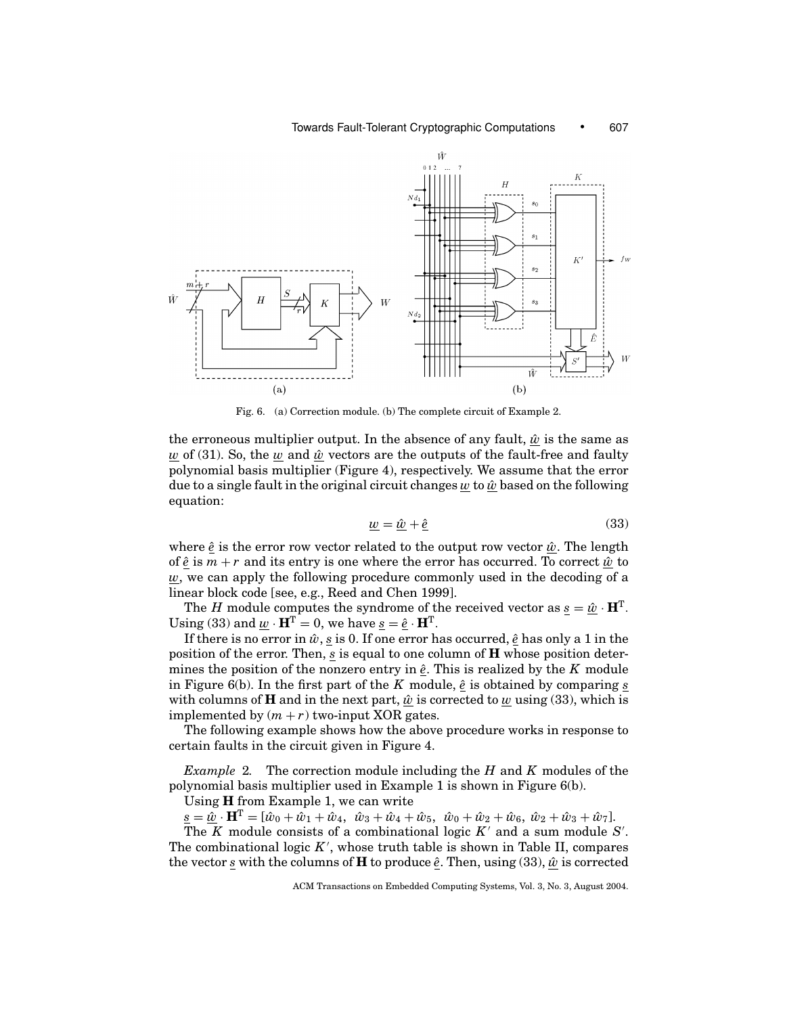

Fig. 6. (a) Correction module. (b) The complete circuit of Example 2.

the erroneous multiplier output. In the absence of any fault,  $\hat{w}$  is the same as  $w$  of (31). So, the  $w$  and  $\hat{w}$  vectors are the outputs of the fault-free and faulty polynomial basis multiplier (Figure 4), respectively. We assume that the error due to a single fault in the original circuit changes  $w$  to  $\hat{w}$  based on the following equation:

$$
\underline{w} = \underline{\hat{w}} + \underline{\hat{e}} \tag{33}
$$

where  $\hat{e}$  is the error row vector related to the output row vector  $\hat{w}$ . The length of  $\hat{e}$  is  $m + r$  and its entry is one where the error has occurred. To correct  $\hat{w}$  to *w*, we can apply the following procedure commonly used in the decoding of a linear block code [see, e.g., Reed and Chen 1999].

The *H* module computes the syndrome of the received vector as  $s = \hat{w} \cdot \mathbf{H}^{T}$ . Using (33) and  $\underline{w} \cdot \mathbf{H}^T = 0$ , we have  $\underline{s} = \hat{\underline{e}} \cdot \mathbf{H}^T$ .

If there is no error in  $\hat{w}$ ,  $\underline{s}$  is 0. If one error has occurred,  $\underline{\hat{e}}$  has only a 1 in the position of the error. Then, *s* is equal to one column of **H** whose position determines the position of the nonzero entry in  $\hat{e}$ . This is realized by the *K* module in Figure 6(b). In the first part of the  $K$  module,  $\hat{e}$  is obtained by comparing  $s$ with columns of **H** and in the next part,  $\hat{w}$  is corrected to *w* using (33), which is implemented by  $(m + r)$  two-input XOR gates.

The following example shows how the above procedure works in response to certain faults in the circuit given in Figure 4.

*Example* 2*.* The correction module including the *H* and *K* modules of the polynomial basis multiplier used in Example 1 is shown in Figure 6(b).

Using **H** from Example 1, we can write

 $\underline{s} = \underline{\hat{w}} \cdot \mathbf{H}^{\mathrm{T}} = [\hat{w}_0 + \hat{w}_1 + \hat{w}_4, \ \hat{w}_3 + \hat{w}_4 + \hat{w}_5, \ \hat{w}_0 + \hat{w}_2 + \hat{w}_6, \ \hat{w}_2 + \hat{w}_3 + \hat{w}_7].$ 

The  $K$  module consists of a combinational logic  $K'$  and a sum module  $S'$ . The combinational logic  $K'$ , whose truth table is shown in Table II, compares the vector <u>s</u> with the columns of **H** to produce  $\hat{e}$ . Then, using (33),  $\hat{w}$  is corrected

ACM Transactions on Embedded Computing Systems, Vol. 3, No. 3, August 2004.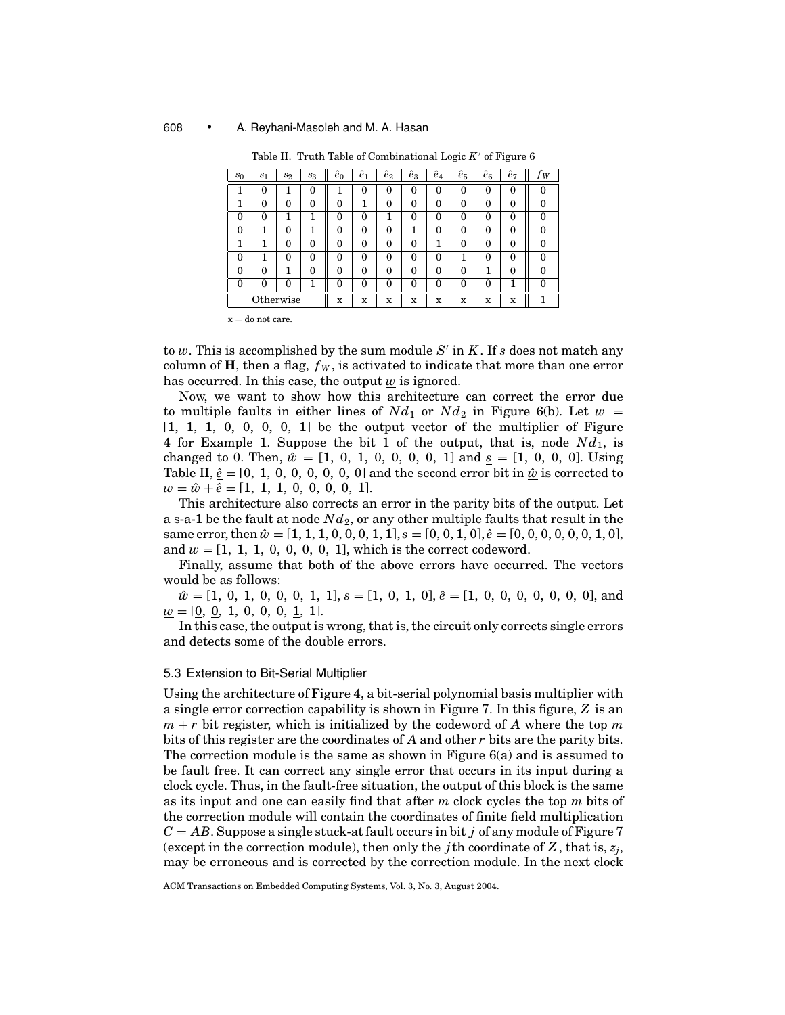| $s_0$    | s <sub>1</sub> | $s_2$ | $s_3$ | $\hat{e}_0$ | ê1       | $\hat{e}_2$ | $\hat{e}_3$ | $\hat{e}_4$ | $\hat{e}_5$ | $\hat{e}_6$ | $\hat{e}_7$ | W             |
|----------|----------------|-------|-------|-------------|----------|-------------|-------------|-------------|-------------|-------------|-------------|---------------|
|          | $\Omega$       |       | 0     |             | 0        | 0           | 0           | 0           | $\Omega$    | 0           | 0           | $\Omega$      |
|          | $\Omega$       | 0     | 0     | $\Omega$    |          | 0           | $\theta$    | $\theta$    | 0           | $\theta$    | 0           | O             |
| 0        | $\Omega$       |       |       | 0           | $\theta$ | 1           | $\theta$    | $\Omega$    | 0           | $\theta$    | 0           | 0             |
| 0        |                | 0     |       | 0           | $\theta$ | 0           |             | 0           | 0           | 0           | 0           | $\mathcal{O}$ |
|          |                | 0     | 0     | 0           | $\theta$ | 0           | $\theta$    |             | 0           | 0           | 0           | $\Omega$      |
| $\Omega$ |                | 0     | 0     | 0           | $\theta$ | 0           | $\theta$    | $\Omega$    |             | 0           | 0           | 0             |
| 0        | $\Omega$       |       | 0     | $\Omega$    | 0        | 0           | $\theta$    | 0           | $\Omega$    |             | 0           | $\left($      |
| $\Omega$ | O              | 0     |       | ∩           | $\Omega$ | 0           | $\Omega$    | 0           | 0           | $\Omega$    |             | ∩             |
|          | Otherwise      |       |       | x           | X        | x           | x           | x           | x           | x           | x           |               |

Table II. Truth Table of Combinational Logic  $K'$  of Figure  $6$ 

 $x =$  do not care.

to  $\underline{w}$ . This is accomplished by the sum module  $S'$  in  $K$ . If *s* does not match any column of **H**, then a flag,  $f_W$ , is activated to indicate that more than one error has occurred. In this case, the output  $\underline{w}$  is ignored.

Now, we want to show how this architecture can correct the error due to multiple faults in either lines of  $Nd_1$  or  $Nd_2$  in Figure 6(b). Let  $w =$  $[1, 1, 1, 0, 0, 0, 0, 1]$  be the output vector of the multiplier of Figure 4 for Example 1. Suppose the bit 1 of the output, that is, node *Nd*1, is changed to 0. Then,  $\hat{\underline{w}} = [1, 0, 1, 0, 0, 0, 0, 1]$  and  $\underline{s} = [1, 0, 0, 0]$ . Using Table II,  $\hat{e} = [0, 1, 0, 0, 0, 0, 0, 0]$  and the second error bit in  $\hat{w}$  is corrected to  $\underline{w} = \underline{\hat{w}} + \underline{\hat{e}} = [1, 1, 1, 0, 0, 0, 0, 1].$ 

This architecture also corrects an error in the parity bits of the output. Let a s-a-1 be the fault at node  $Nd_2$ , or any other multiple faults that result in the same error, then  $\hat{\underline{w}} = [1, 1, 1, 0, 0, 0, \underline{1}, 1], \underline{s} = [0, 0, 1, 0], \hat{\underline{e}} = [0, 0, 0, 0, 0, 0, 1, 0],$ and  $w = [1, 1, 1, 0, 0, 0, 0, 1]$ , which is the correct codeword.

Finally, assume that both of the above errors have occurred. The vectors would be as follows:

 $\hat{\underline{w}} = [1, 0, 1, 0, 0, 0, 1, 1], \underline{s} = [1, 0, 1, 0], \hat{\underline{e}} = [1, 0, 0, 0, 0, 0, 0, 0],$  and  $\underline{w} = [0, 0, 1, 0, 0, 0, \underline{1}, 1].$ 

In this case, the output is wrong, that is, the circuit only corrects single errors and detects some of the double errors.

## 5.3 Extension to Bit-Serial Multiplier

Using the architecture of Figure 4, a bit-serial polynomial basis multiplier with a single error correction capability is shown in Figure 7. In this figure, *Z* is an  $m + r$  bit register, which is initialized by the codeword of *A* where the top *m* bits of this register are the coordinates of *A* and other *r* bits are the parity bits. The correction module is the same as shown in Figure  $6(a)$  and is assumed to be fault free. It can correct any single error that occurs in its input during a clock cycle. Thus, in the fault-free situation, the output of this block is the same as its input and one can easily find that after *m* clock cycles the top *m* bits of the correction module will contain the coordinates of finite field multiplication *C* = *AB*. Suppose a single stuck-at fault occurs in bit *j* of any module of Figure 7 (except in the correction module), then only the *j*th coordinate of  $Z$ , that is,  $z_i$ , may be erroneous and is corrected by the correction module. In the next clock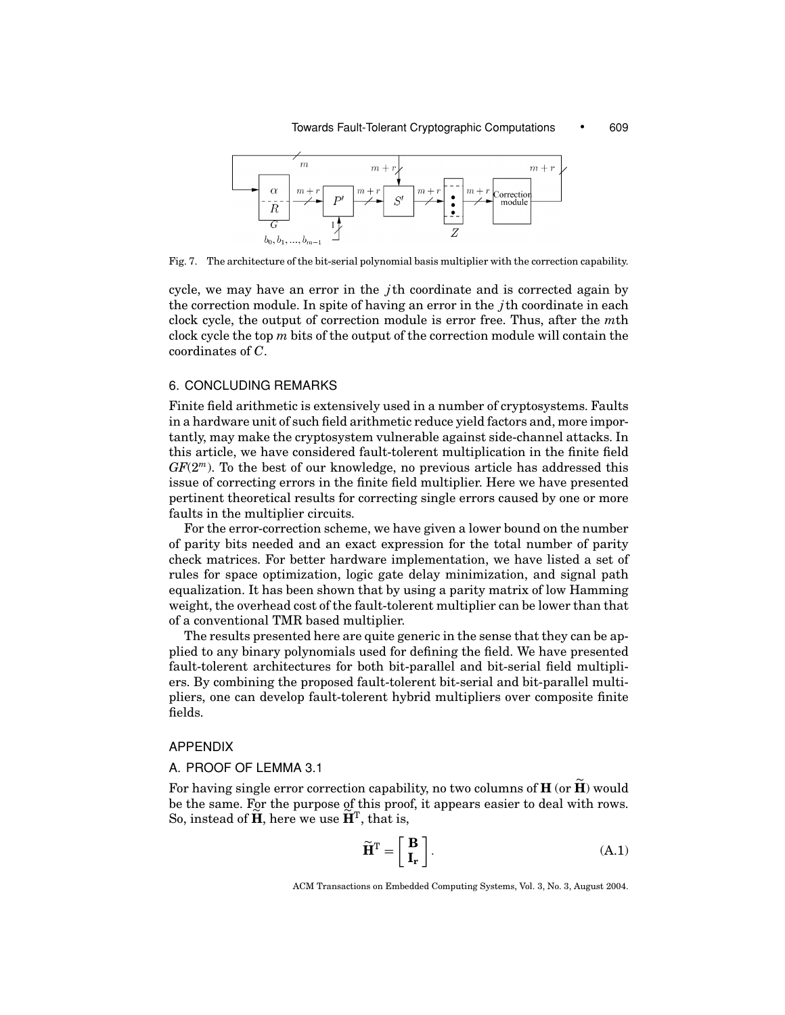

Fig. 7. The architecture of the bit-serial polynomial basis multiplier with the correction capability.

cycle, we may have an error in the *j*th coordinate and is corrected again by the correction module. In spite of having an error in the *j*th coordinate in each clock cycle, the output of correction module is error free. Thus, after the *m*th clock cycle the top *m* bits of the output of the correction module will contain the coordinates of *C*.

## 6. CONCLUDING REMARKS

Finite field arithmetic is extensively used in a number of cryptosystems. Faults in a hardware unit of such field arithmetic reduce yield factors and, more importantly, may make the cryptosystem vulnerable against side-channel attacks. In this article, we have considered fault-tolerent multiplication in the finite field *GF*(2*<sup>m</sup>*). To the best of our knowledge, no previous article has addressed this issue of correcting errors in the finite field multiplier. Here we have presented pertinent theoretical results for correcting single errors caused by one or more faults in the multiplier circuits.

For the error-correction scheme, we have given a lower bound on the number of parity bits needed and an exact expression for the total number of parity check matrices. For better hardware implementation, we have listed a set of rules for space optimization, logic gate delay minimization, and signal path equalization. It has been shown that by using a parity matrix of low Hamming weight, the overhead cost of the fault-tolerent multiplier can be lower than that of a conventional TMR based multiplier.

The results presented here are quite generic in the sense that they can be applied to any binary polynomials used for defining the field. We have presented fault-tolerent architectures for both bit-parallel and bit-serial field multipliers. By combining the proposed fault-tolerent bit-serial and bit-parallel multipliers, one can develop fault-tolerent hybrid multipliers over composite finite fields.

## APPENDIX

## A. PROOF OF LEMMA 3.1

For having single error correction capability, no two columns of **H** (or **H** ) would be the same. For the purpose of this proof, it appears easier to deal with rows. So, instead of **H**, here we use  $\mathbf{H}^{\mathrm{T}}$ , that is,

$$
\widetilde{\mathbf{H}}^{\mathrm{T}} = \begin{bmatrix} \mathbf{B} \\ \mathbf{I}_{\mathbf{r}} \end{bmatrix} . \tag{A.1}
$$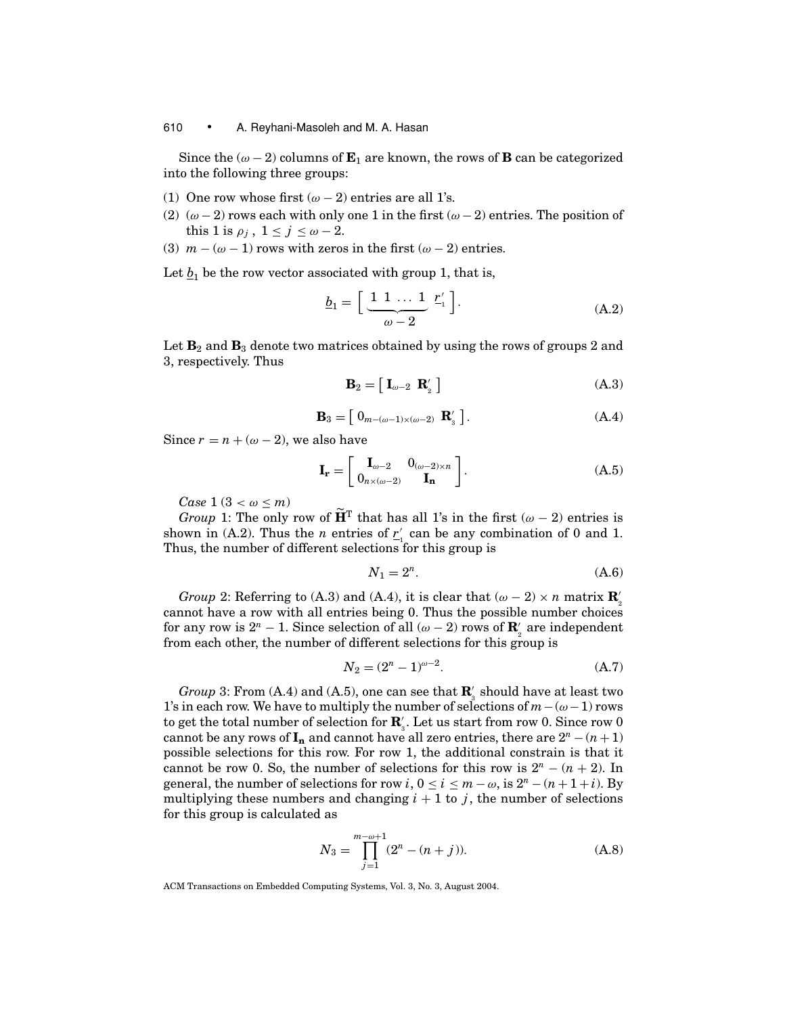Since the  $(\omega - 2)$  columns of  $\mathbf{E}_1$  are known, the rows of **B** can be categorized into the following three groups:

- (1) One row whose first  $(\omega 2)$  entries are all 1's.
- (2)  $(\omega 2)$  rows each with only one 1 in the first  $(\omega 2)$  entries. The position of this 1 is  $\rho_j$ ,  $1 \le j \le \omega - 2$ .
- (3)  $m (\omega 1)$  rows with zeros in the first  $(\omega 2)$  entries.

Let  $b_1$  be the row vector associated with group 1, that is,

$$
\underline{b}_1 = \left[ \underbrace{1 \ 1 \ \dots \ 1}_{\omega - 2} \ \underline{r}'_1 \right]. \tag{A.2}
$$

Let  $\mathbf{B}_2$  and  $\mathbf{B}_3$  denote two matrices obtained by using the rows of groups 2 and 3, respectively. Thus

$$
\mathbf{B}_2 = \left[ \mathbf{I}_{\omega - 2} \ \mathbf{R}'_2 \ \right] \tag{A.3}
$$

$$
\mathbf{B}_3 = \left[ \begin{array}{c} 0_{m - (\omega - 1) \times (\omega - 2)} & \mathbf{R}'_3 \end{array} \right]. \tag{A.4}
$$

Since  $r = n + (\omega - 2)$ , we also have

$$
\mathbf{I}_{\mathbf{r}} = \begin{bmatrix} \mathbf{I}_{\omega-2} & 0_{(\omega-2)\times n} \\ 0_{n\times(\omega-2)} & \mathbf{I}_{\mathbf{n}} \end{bmatrix}.
$$
 (A.5)

*Case*  $1 (3 < \omega < m)$ 

*Group* 1: The only row of  $\tilde{H}^T$  that has all 1's in the first ( $\omega - 2$ ) entries is shown in (A.2). Thus the *n* entries of  $r'_{1}$  can be any combination of 0 and 1. Thus, the number of different selections for this group is

$$
N_1 = 2^n. \tag{A.6}
$$

*Group* 2: Referring to (A.3) and (A.4), it is clear that  $(\omega - 2) \times n$  matrix  $\mathbf{R}'_2$ cannot have a row with all entries being 0. Thus the possible number choices for any row is  $2^n - 1$ . Since selection of all  $(\omega - 2)$  rows of  $\mathbf{R}'_2$  are independent from each other, the number of different selections for this group is

$$
N_2 = (2^n - 1)^{\omega - 2}.
$$
 (A.7)

*Group* 3: From (A.4) and (A.5), one can see that  $\mathbf{R}'_3$  should have at least two 1's in each row. We have to multiply the number of selections of *m*−(ω−1) rows to get the total number of selection for **R** 3 . Let us start from row 0. Since row 0 cannot be any rows of  $I_n$  and cannot have all zero entries, there are  $2^n - (n+1)$ possible selections for this row. For row 1, the additional constrain is that it cannot be row 0. So, the number of selections for this row is  $2^n - (n + 2)$ . In general, the number of selections for row *i*,  $0 \le i \le m - \omega$ , is  $2^n - (n + 1 + i)$ . By multiplying these numbers and changing  $i + 1$  to *j*, the number of selections for this group is calculated as

$$
N_3 = \prod_{j=1}^{m-\omega+1} (2^n - (n+j)).
$$
 (A.8)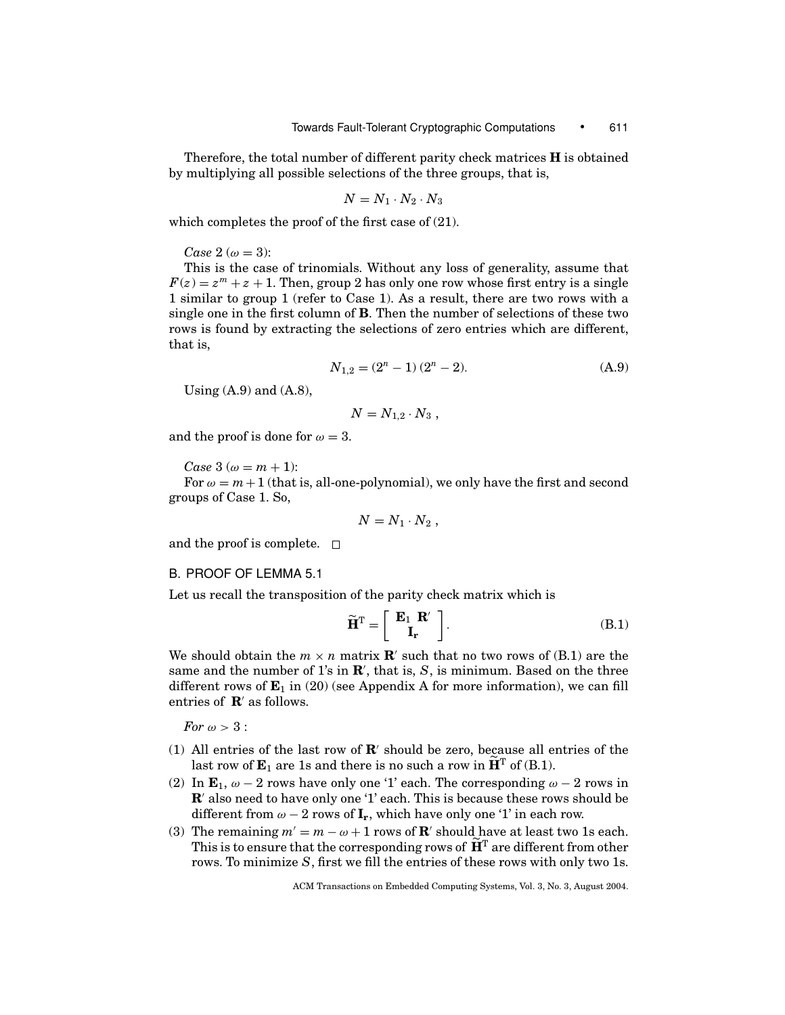Therefore, the total number of different parity check matrices **H** is obtained by multiplying all possible selections of the three groups, that is,

$$
N = N_1 \cdot N_2 \cdot N_3
$$

which completes the proof of the first case of (21).

*Case*  $2 (\omega = 3)$ :

This is the case of trinomials. Without any loss of generality, assume that  $F(z) = z<sup>m</sup> + z + 1$ . Then, group 2 has only one row whose first entry is a single 1 similar to group 1 (refer to Case 1). As a result, there are two rows with a single one in the first column of **B**. Then the number of selections of these two rows is found by extracting the selections of zero entries which are different, that is,

$$
N_{1,2} = (2^n - 1)(2^n - 2). \tag{A.9}
$$

Using (A.9) and (A.8),

$$
N=N_{1,2}\cdot N_3,
$$

and the proof is done for  $\omega = 3$ .

*Case*  $3 (\omega = m + 1)$ :

For  $\omega = m + 1$  (that is, all-one-polynomial), we only have the first and second groups of Case 1. So,

$$
N=N_1\cdot N_2\ ,
$$

and the proof is complete.  $\square$ 

#### B. PROOF OF LEMMA 5.1

Let us recall the transposition of the parity check matrix which is

$$
\widetilde{\mathbf{H}}^{\mathrm{T}} = \left[ \begin{array}{c} \mathbf{E}_1 \ \mathbf{R}' \\ \mathbf{I_r} \end{array} \right]. \tag{B.1}
$$

We should obtain the  $m \times n$  matrix **R**' such that no two rows of (B.1) are the same and the number of  $1$ 's in  $\mathbb{R}'$ , that is,  $S$ , is minimum. Based on the three different rows of  $\mathbf{E}_1$  in (20) (see Appendix A for more information), we can fill entries of  $\mathbf{R}'$  as follows.

*For*  $\omega > 3$  :

- (1) All entries of the last row of  $\mathbb{R}'$  should be zero, because all entries of the last row of  $\mathbf{E}_1$  are 1s and there is no such a row in  $\mathbf{H}^T$  of (B.1).
- (2) In  $\mathbf{E}_1$ ,  $\omega 2$  rows have only one '1' each. The corresponding  $\omega 2$  rows in **R**' also need to have only one '1' each. This is because these rows should be different from  $\omega - 2$  rows of  $\mathbf{I}_r$ , which have only one '1' in each row.
- (3) The remaining  $m' = m \omega + 1$  rows of **R**' should have at least two 1s each. This is to ensure that the corresponding rows of  $H<sup>T</sup>$  are different from other rows. To minimize *S*, first we fill the entries of these rows with only two 1s.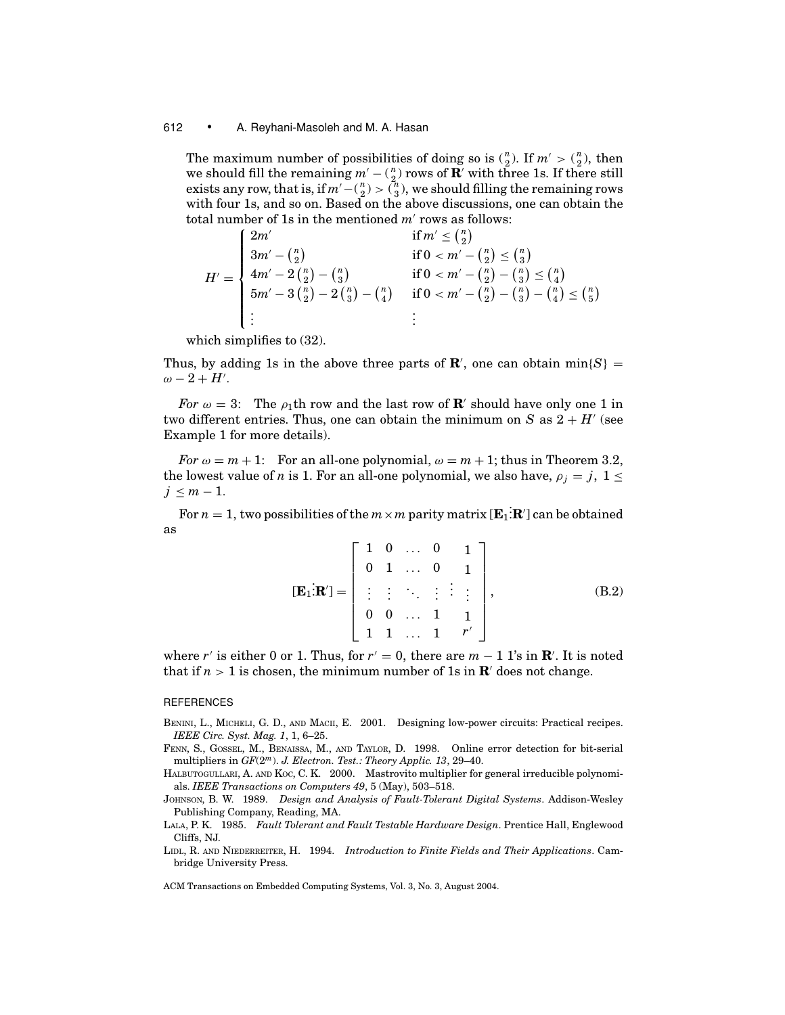The maximum number of possibilities of doing so is  $\binom{n}{2}$ . If  $m' > \binom{n}{2}$ , then we should fill the remaining  $m' - {n \choose 2}$  rows of **R**' with three 1s. If there still exists any row, that is, if  $m' - {n \choose 2} > {n \choose 3}$ , we should filling the remaining rows with four 1s, and so on. Based on the above discussions, one can obtain the total number of 1s in the mentioned  $m'$  rows as follows:

$$
H' = \begin{cases} 2m' & \text{if } m' \leq {n \choose 2} \\ 3m' - {n \choose 2} & \text{if } 0 < m' - {n \choose 2} \leq {n \choose 3} \\ 4m' - 2{n \choose 2} - {n \choose 3} & \text{if } 0 < m' - {n \choose 2} - {n \choose 3} \leq {n \choose 4} \\ 5m' - 3{n \choose 2} - 2{n \choose 3} - {n \choose 4} & \text{if } 0 < m' - {n \choose 2} - {n \choose 3} - {n \choose 4} \leq {n \choose 5} \\ \vdots & \vdots & \vdots \end{cases}
$$

which simplifies to (32).

Thus, by adding 1s in the above three parts of  $\mathbb{R}'$ , one can obtain min $\{S\}$  =  $\omega - 2 + H'$ .

*For*  $\omega = 3$ : The  $\rho_1$ th row and the last row of **R**' should have only one 1 in two different entries. Thus, one can obtain the minimum on *S* as  $2 + H'$  (see Example 1 for more details).

*For*  $\omega = m + 1$ : For an all-one polynomial,  $\omega = m + 1$ ; thus in Theorem 3.2, the lowest value of *n* is 1. For an all-one polynomial, we also have,  $\rho_j = j$ ,  $1 \leq$  $j \leq m-1$ .

For  $n=1,$  two possibilities of the  $m \times m$  parity matrix [ $\mathbf{E}_1$ : $\mathbf{R}'$ ] can be obtained as

$$
[\mathbf{E}_{1}:\mathbf{R}'] = \begin{bmatrix} 1 & 0 & \dots & 0 & 1 \\ 0 & 1 & \dots & 0 & 1 \\ \vdots & \vdots & \ddots & \vdots & \vdots \\ 0 & 0 & \dots & 1 & 1 \\ 1 & 1 & \dots & 1 & r' \end{bmatrix},
$$
(B.2)

where *r'* is either 0 or 1. Thus, for  $r' = 0$ , there are  $m - 1$  1's in **R'**. It is noted that if  $n > 1$  is chosen, the minimum number of 1s in  $\mathbb{R}^7$  does not change.

#### **REFERENCES**

- BENINI, L., MICHELI, G. D., AND MACII, E. 2001. Designing low-power circuits: Practical recipes. *IEEE Circ. Syst. Mag. 1*, 1, 6–25.
- FENN, S., GOSSEL, M., BENAISSA, M., AND TAYLOR, D. 1998. Online error detection for bit-serial multipliers in *GF*(2*m*). *J. Electron. Test.: Theory Applic. 13*, 29–40.
- HALBUTOGULLARI, A. AND KOC, C. K. 2000. Mastrovito multiplier for general irreducible polynomials. *IEEE Transactions on Computers 49*, 5 (May), 503–518.
- JOHNSON, B. W. 1989. *Design and Analysis of Fault-Tolerant Digital Systems*. Addison-Wesley Publishing Company, Reading, MA.
- LALA, P. K. 1985. *Fault Tolerant and Fault Testable Hardware Design*. Prentice Hall, Englewood Cliffs, NJ.
- LIDL, R. AND NIEDERREITER, H. 1994. *Introduction to Finite Fields and Their Applications*. Cambridge University Press.